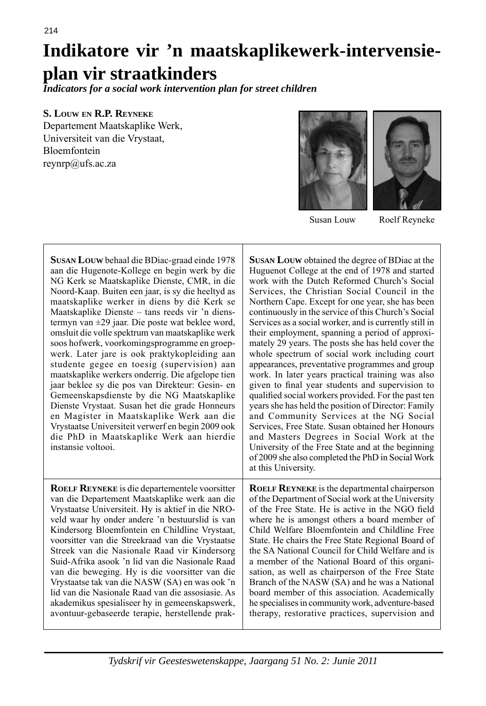# **Indikatore vir 'n maatskaplikewerk-intervensieplan vir straatkinders**

ı

*Indicators for a social work intervention plan for street children*

## **S. LOUW EN R.P. REYNEKE**

Departement Maatskaplike Werk, Universiteit van die Vrystaat, Bloemfontein reynrp@ufs.ac.za



Susan Louw Roelf Reyneke

| <b>SUSAN LOUW</b> behaal die BDiac-graad einde 1978<br>aan die Hugenote-Kollege en begin werk by die<br>NG Kerk se Maatskaplike Dienste, CMR, in die<br>Noord-Kaap. Buiten een jaar, is sy die heeltyd as<br>maatskaplike werker in diens by dié Kerk se<br>Maatskaplike Dienste – tans reeds vir 'n diens-<br>termyn van $\pm 29$ jaar. Die poste wat beklee word,<br>omsluit die volle spektrum van maatskaplike werk<br>soos hofwerk, voorkomingsprogramme en groep-<br>werk. Later jare is ook praktykopleiding aan<br>studente gegee en toesig (supervision) aan<br>maatskaplike werkers onderrig. Die afgelope tien<br>jaar beklee sy die pos van Direkteur: Gesin- en<br>Gemeenskapsdienste by die NG Maatskaplike<br>Dienste Vrystaat. Susan het die grade Honneurs<br>en Magister in Maatskaplike Werk aan die<br>Vrystaatse Universiteit verwerf en begin 2009 ook<br>die PhD in Maatskaplike Werk aan hierdie<br>instansie voltooi. | <b>SUSAN LOUW</b> obtained the degree of BDiac at the<br>Huguenot College at the end of 1978 and started<br>work with the Dutch Reformed Church's Social<br>Services, the Christian Social Council in the<br>Northern Cape. Except for one year, she has been<br>continuously in the service of this Church's Social<br>Services as a social worker, and is currently still in<br>their employment, spanning a period of approxi-<br>mately 29 years. The posts she has held cover the<br>whole spectrum of social work including court<br>appearances, preventative programmes and group<br>work. In later years practical training was also<br>given to final year students and supervision to<br>qualified social workers provided. For the past ten<br>years she has held the position of Director: Family<br>and Community Services at the NG Social<br>Services, Free State. Susan obtained her Honours<br>and Masters Degrees in Social Work at the<br>University of the Free State and at the beginning<br>of 2009 she also completed the PhD in Social Work<br>at this University. |
|------------------------------------------------------------------------------------------------------------------------------------------------------------------------------------------------------------------------------------------------------------------------------------------------------------------------------------------------------------------------------------------------------------------------------------------------------------------------------------------------------------------------------------------------------------------------------------------------------------------------------------------------------------------------------------------------------------------------------------------------------------------------------------------------------------------------------------------------------------------------------------------------------------------------------------------------|---------------------------------------------------------------------------------------------------------------------------------------------------------------------------------------------------------------------------------------------------------------------------------------------------------------------------------------------------------------------------------------------------------------------------------------------------------------------------------------------------------------------------------------------------------------------------------------------------------------------------------------------------------------------------------------------------------------------------------------------------------------------------------------------------------------------------------------------------------------------------------------------------------------------------------------------------------------------------------------------------------------------------------------------------------------------------------------------|
| ROELF REYNEKE is die departementele voorsitter                                                                                                                                                                                                                                                                                                                                                                                                                                                                                                                                                                                                                                                                                                                                                                                                                                                                                                 | <b>ROELF REYNEKE</b> is the departmental chairperson                                                                                                                                                                                                                                                                                                                                                                                                                                                                                                                                                                                                                                                                                                                                                                                                                                                                                                                                                                                                                                        |
| van die Departement Maatskaplike werk aan die                                                                                                                                                                                                                                                                                                                                                                                                                                                                                                                                                                                                                                                                                                                                                                                                                                                                                                  | of the Department of Social work at the University                                                                                                                                                                                                                                                                                                                                                                                                                                                                                                                                                                                                                                                                                                                                                                                                                                                                                                                                                                                                                                          |
| Vrystaatse Universiteit. Hy is aktief in die NRO-                                                                                                                                                                                                                                                                                                                                                                                                                                                                                                                                                                                                                                                                                                                                                                                                                                                                                              | of the Free State. He is active in the NGO field                                                                                                                                                                                                                                                                                                                                                                                                                                                                                                                                                                                                                                                                                                                                                                                                                                                                                                                                                                                                                                            |
| veld waar hy onder andere 'n bestuurslid is van                                                                                                                                                                                                                                                                                                                                                                                                                                                                                                                                                                                                                                                                                                                                                                                                                                                                                                | where he is amongst others a board member of                                                                                                                                                                                                                                                                                                                                                                                                                                                                                                                                                                                                                                                                                                                                                                                                                                                                                                                                                                                                                                                |
| Kindersorg Bloemfontein en Childline Vrystaat,                                                                                                                                                                                                                                                                                                                                                                                                                                                                                                                                                                                                                                                                                                                                                                                                                                                                                                 | Child Welfare Bloemfontein and Childline Free                                                                                                                                                                                                                                                                                                                                                                                                                                                                                                                                                                                                                                                                                                                                                                                                                                                                                                                                                                                                                                               |
| voorsitter van die Streekraad van die Vrystaatse                                                                                                                                                                                                                                                                                                                                                                                                                                                                                                                                                                                                                                                                                                                                                                                                                                                                                               | State. He chairs the Free State Regional Board of                                                                                                                                                                                                                                                                                                                                                                                                                                                                                                                                                                                                                                                                                                                                                                                                                                                                                                                                                                                                                                           |
| Streek van die Nasionale Raad vir Kindersorg                                                                                                                                                                                                                                                                                                                                                                                                                                                                                                                                                                                                                                                                                                                                                                                                                                                                                                   | the SA National Council for Child Welfare and is                                                                                                                                                                                                                                                                                                                                                                                                                                                                                                                                                                                                                                                                                                                                                                                                                                                                                                                                                                                                                                            |
| Suid-Afrika asook 'n lid van die Nasionale Raad                                                                                                                                                                                                                                                                                                                                                                                                                                                                                                                                                                                                                                                                                                                                                                                                                                                                                                | a member of the National Board of this organi-                                                                                                                                                                                                                                                                                                                                                                                                                                                                                                                                                                                                                                                                                                                                                                                                                                                                                                                                                                                                                                              |
| van die beweging. Hy is die voorsitter van die                                                                                                                                                                                                                                                                                                                                                                                                                                                                                                                                                                                                                                                                                                                                                                                                                                                                                                 | sation, as well as chairperson of the Free State                                                                                                                                                                                                                                                                                                                                                                                                                                                                                                                                                                                                                                                                                                                                                                                                                                                                                                                                                                                                                                            |
| Vrystaatse tak van die NASW (SA) en was ook 'n                                                                                                                                                                                                                                                                                                                                                                                                                                                                                                                                                                                                                                                                                                                                                                                                                                                                                                 | Branch of the NASW (SA) and he was a National                                                                                                                                                                                                                                                                                                                                                                                                                                                                                                                                                                                                                                                                                                                                                                                                                                                                                                                                                                                                                                               |
| lid van die Nasionale Raad van die assosiasie. As                                                                                                                                                                                                                                                                                                                                                                                                                                                                                                                                                                                                                                                                                                                                                                                                                                                                                              | board member of this association. Academically                                                                                                                                                                                                                                                                                                                                                                                                                                                                                                                                                                                                                                                                                                                                                                                                                                                                                                                                                                                                                                              |
| akademikus spesialiseer hy in gemeenskapswerk,                                                                                                                                                                                                                                                                                                                                                                                                                                                                                                                                                                                                                                                                                                                                                                                                                                                                                                 | he specialises in community work, adventure-based                                                                                                                                                                                                                                                                                                                                                                                                                                                                                                                                                                                                                                                                                                                                                                                                                                                                                                                                                                                                                                           |
| avontuur-gebaseerde terapie, herstellende prak-                                                                                                                                                                                                                                                                                                                                                                                                                                                                                                                                                                                                                                                                                                                                                                                                                                                                                                | therapy, restorative practices, supervision and                                                                                                                                                                                                                                                                                                                                                                                                                                                                                                                                                                                                                                                                                                                                                                                                                                                                                                                                                                                                                                             |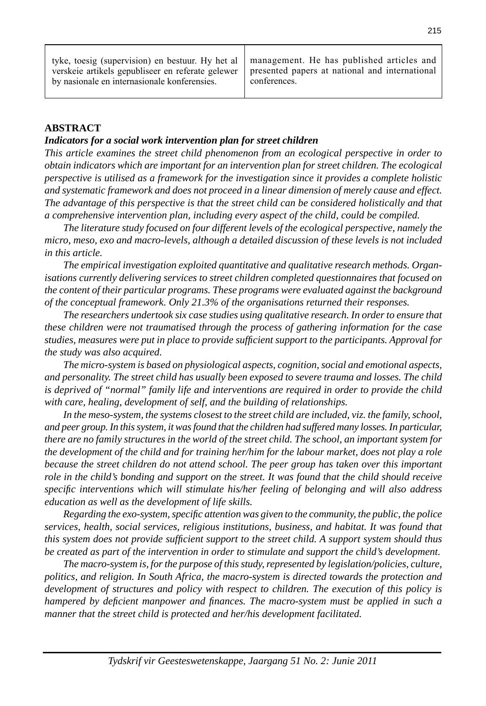| tyke, toesig (supervision) en bestuur. Hy het al   management. He has published articles and<br>verskeie artikels gepubliseer en referate gelewer   presented papers at national and international<br>by nasionale en internasionale konferensies. | conferences. |
|----------------------------------------------------------------------------------------------------------------------------------------------------------------------------------------------------------------------------------------------------|--------------|
|----------------------------------------------------------------------------------------------------------------------------------------------------------------------------------------------------------------------------------------------------|--------------|

#### **ABSTRACT**

#### *Indicators for a social work intervention plan for street children*

*This article examines the street child phenomenon from an ecological perspective in order to obtain indicators which are important for an intervention plan for street children. The eco logical perspective is utilised as a framework for the investigation since it provides a complete holistic and systematic framework and does not proceed in a linear dimension of merely cause and effect. The advantage of this perspective is that the street child can be considered holistically and that a comp rehensive intervention plan, including every aspect of the child, could be compiled.*

 *The literature study focused on four different levels of the ecological perspective, namely the micro, meso, exo and macro-levels, although a detailed discussion of these levels is not included in this article.*

 *The empirical investigation exploited quantitative and qualitative research methods. Organisations currently delivering services to street children completed questionnaires that focused on the content of their particular programs. These programs were evaluated against the background of the conceptual framework. Only 21.3% of the organisations returned their responses.*

 *The researchers undertook six case studies using qualitative research. In order to ensure that these children were not traumatised through the process of gathering information for the case studies, measures were put in place to provide suffi cient support to the participants. Approval for the study was also acquired.*

 *The micro-system is based on physiological aspects, cognition, social and emotional aspects, and personality. The street child has usually been exposed to severe trauma and losses. The child is deprived of "normal" family life and interventions are required in order to provide the child with care, healing, development of self, and the building of relationships.* 

 *In the meso-system, the systems closest to the street child are included, viz. the family, school, and peer group. In this system, it was found that the children had suffered many losses. In particular, there are no family structures in the world of the street child. The school, an important system for the development of the child and for training her/him for the labour market, does not play a role because the street children do not attend school. The peer group has taken over this important role in the child's bonding and support on the street. It was found that the child should receive specifi c interventions which will stimulate his/her feeling of belonging and will also address education as well as the development of life skills.*

 *Regarding the exo-system, specifi c attention was given to the community, the public, the police services, health, social services, religious institutions, business, and habitat. It was found that this system does not provide sufficient support to the street child. A support system should thus be created as part of the intervention in order to stimulate and support the child's development.*

 *The macro-system is, for the purpose of this study, represented by legislation/policies, culture, politics, and religion. In South Africa, the macro-system is directed towards the protection and development of structures and policy with respect to children. The execution of this policy is hampered by defi cient manpower and fi nances. The macro-system must be applied in such a manner that the street child is protected and her/his development facilitated.*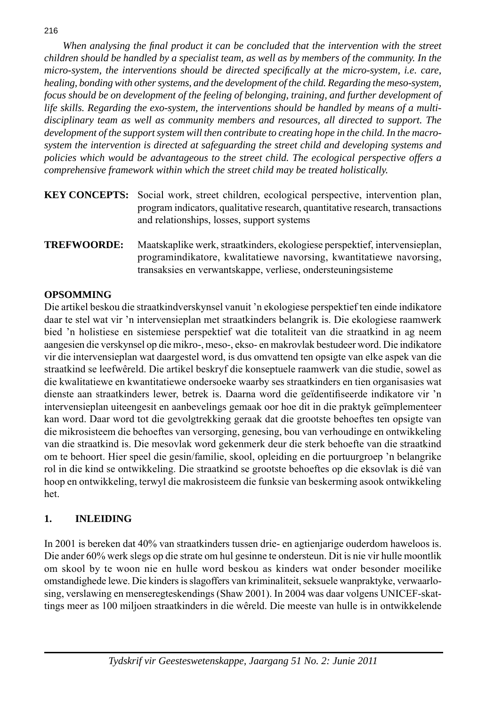*When analysing the fi nal product it can be concluded that the intervention with the street child ren should be handled by a specialist team, as well as by members of the community. In the micro-system, the interventions should be directed specifically at the micro-system, i.e. care, healing, bonding with other systems, and the development of the child. Regarding the meso-system, focus should be on development of the feeling of belonging, training, and further development of life skills. Regarding the exo-system, the interventions should be handled by means of a multidisciplinary team as well as community members and resources, all directed to support. The development of the support system will then contribute to creating hope in the child. In the macrosystem the intervention is directed at safeguarding the street child and developing systems and policies which would be advantageous to the street child. The ecological perspective offers a comprehensive framework within which the street child may be treated holistically.*

- **KEY CONCEPTS:** Social work, street children, ecological perspective, intervention plan, program indicators, qualitative research, quantitative research, transactions and relationships, losses, support systems
- **TREFWOORDE:** Maatskaplike werk, straatkinders, ekologiese perspektief, intervensieplan, programindikatore, kwalitatiewe navorsing, kwantitatiewe navorsing, transaksies en verwantskappe, verliese, ondersteuningsisteme

## **OPSOMMING**

Die artikel beskou die straatkindverskynsel vanuit 'n ekologiese perspektief ten einde indika tore daar te stel wat vir 'n intervensieplan met straatkinders belangrik is. Die ekologiese raamwerk bied 'n holistiese en sistemiese perspektief wat die totaliteit van die straatkind in ag neem aangesien die verskynsel op die mikro-, meso-, ekso- en makro vlak bestudeer word. Die indikatore vir die intervensieplan wat daargestel word, is dus omvattend ten op sigte van elke aspek van die straatkind se leefwêreld. Die artikel beskryf die konseptuele raamwerk van die studie, sowel as die kwalitatiewe en kwantitatiewe ondersoeke waarby ses straatkinders en tien organisasies wat dienste aan straatkinders lewer, betrek is. Daarna word die geïdentifiseerde indikatore vir 'n intervensieplan uiteengesit en aanbevelings gemaak oor hoe dit in die praktyk geïmplementeer kan word. Daar word tot die gevolgtrekking geraak dat die grootste behoeftes ten opsigte van die mikrosisteem die behoeftes van versorging, genesing, bou van verhoudinge en ontwikkeling van die straatkind is. Die mesovlak word gekenmerk deur die sterk behoefte van die straatkind om te behoort. Hier speel die gesin/familie, skool, opleiding en die portuurgroep 'n belangrike rol in die kind se ontwikkeling. Die straatkind se grootste behoeftes op die eksovlak is dié van hoop en ontwikkeling, terwyl die makrosisteem die funksie van beskerming asook ontwikkeling het.

## **1. INLEIDING**

In 2001 is bere ken dat 40% van straatkinders tussen drie- en agtienjarige ouderdom haweloos is. Die ander 60% werk slegs op die strate om hul gesinne te ondersteun. Dit is nie vir hulle moontlik om skool by te woon nie en hulle word beskou as kinders wat onder besonder moeilike omstandighede lewe. Die kinders is slagoffers van kriminaliteit, seksuele wanpraktyke, verwaarlosing, verslawing en menseregteskendings (Shaw 2001). In 2004 was daar volgens UNICEF-skattings meer as 100 miljoen straatkinders in die wêreld. Die meeste van hulle is in ontwikkelende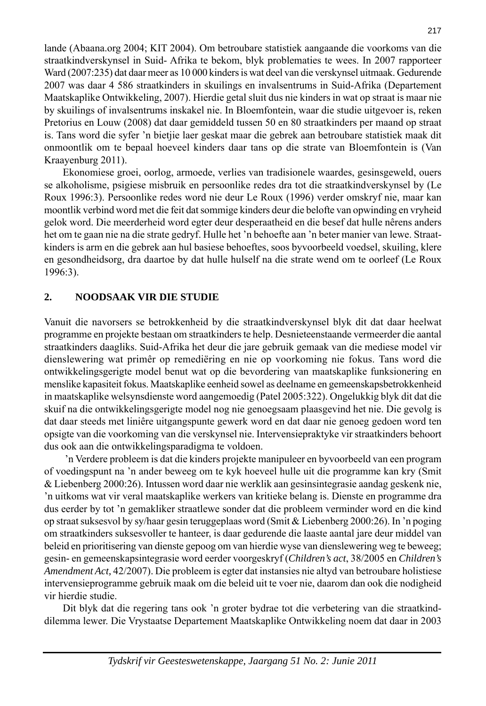lande (Abaana.org 2004; KIT 2004). Om betroubare statistiek aangaande die voorkoms van die straatkindverskynsel in Suid- Afrika te bekom, blyk problematies te wees. In 2007 rapporteer Ward (2007:235) dat daar meer as 10 000 kinders is wat deel van die verskynsel uitmaak. Gedurende 2007 was daar 4 586 straatkinders in skuilings en invalsentrums in Suid-Afrika (Departement Maatskaplike Ontwikkeling, 2007). Hierdie getal sluit dus nie kinders in wat op straat is maar nie by skuilings of invalsentrums inskakel nie. In Bloemfontein, waar die studie uitgevoer is, reken Pretorius en Louw (2008) dat daar gemiddeld tussen 50 en 80 straatkinders per maand op straat is. Tans word die syfer 'n bietjie laer geskat maar die gebrek aan betroubare statistiek maak dit onmoontlik om te bepaal hoeveel kinders daar tans op die strate van Bloemfontein is (Van Kraayenburg 2011).

 Ekonomiese groei, oorlog, armoede, verlies van tradisionele waardes, gesinsgeweld, ouers se alkoholisme, psigiese misbruik en persoonlike redes dra tot die straatkindverskynsel by (Le Roux 1996:3). Persoonlike redes word nie deur Le Roux (1996) verder om skryf nie, maar kan moontlik verbind word met die feit dat som mige kinders deur die belofte van opwinding en vryheid gelok word. Die meerderheid word egter deur desperaatheid en die besef dat hulle nêrens anders het om te gaan nie na die strate gedryf. Hulle het 'n behoefte aan 'n beter manier van lewe. Straatkinders is arm en die gebrek aan hul basiese behoeftes, soos byvoorbeeld voedsel, skuiling, klere en gesondheidsorg, dra daartoe by dat hulle hulself na die strate wend om te oorleef (Le Roux 1996:3).

#### **2. NOODSAAK VIR DIE STUDIE**

Vanuit die navorsers se betrokkenheid by die straatkindverskynsel blyk dit dat daar heelwat programme en projekte bestaan om straatkinders te help. Desnieteenstaande ver meerder die aantal straatkinders daagliks. Suid-Afrika het deur die jare gebruik gemaak van die mediese model vir dienslewering wat primêr op remediëring en nie op voorkoming nie fokus. Tans word die ontwikkelingsgerigte model benut wat op die bevordering van maatskaplike funksionering en menslike kapasiteit fokus. Maatskaplike eenheid sowel as deelname en gemeenskapsbetrokkenheid in maatskaplike welsynsdienste word aangemoedig (Patel 2005:322). Ongelukkig blyk dit dat die skuif na die ontwikkelingsgerigte model nog nie genoegsaam plaasgevind het nie. Die gevolg is dat daar steeds met liniêre uitgangspunte gewerk word en dat daar nie genoeg gedoen word ten opsigte van die voorkoming van die verskynsel nie. Intervensiepraktyke vir straatkinders behoort dus ook aan die ontwikkelingsparadigma te voldoen.

 'n Verdere probleem is dat die kinders projekte manipuleer en by voorbeeld van een program of voedingspunt na 'n ander beweeg om te kyk hoeveel hulle uit die programme kan kry (Smit & Liebenberg 2000:26). Intussen word daar nie werklik aan gesins integrasie aandag geskenk nie, 'n uitkoms wat vir veral maatskaplike werkers van kritieke belang is. Dienste en programme dra dus eerder by tot 'n gemakliker straatlewe sonder dat die probleem verminder word en die kind op straat suksesvol by sy/haar gesin teruggeplaas word (Smit & Liebenberg 2000:26). In 'n poging om straatkinders suksesvoller te hanteer, is daar gedurende die laaste aantal jare deur middel van beleid en prioritisering van dienste gepoog om van hierdie wyse van diens lewering weg te beweeg; gesin- en gemeen skaps integrasie word eerder voorgeskryf (*Children's act*, 38/2005 en *Children's Amendment Act,* 42/2007). Die probleem is egter dat instansies nie altyd van betroubare holistiese intervensieprogramme gebruik maak om die beleid uit te voer nie, daarom dan ook die nodigheid vir hierdie studie.

Dit blyk dat die regering tans ook 'n groter bydrae tot die verbetering van die straatkinddilemma lewer. Die Vrystaatse Departement Maatskaplike Ontwikkeling noem dat daar in 2003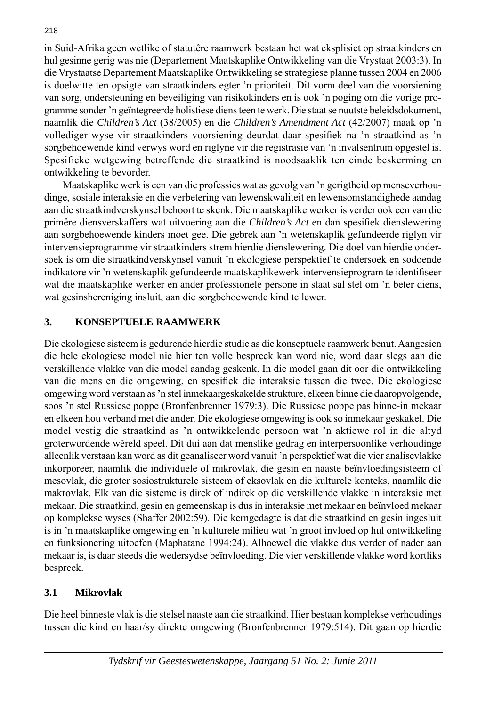in Suid-Afrika geen wetlike of statutêre raamwerk bestaan het wat eksplisiet op straatkinders en hul gesinne gerig was nie (Departement Maatskaplike Ontwikkeling van die Vrystaat 2003:3). In die Vrystaatse Departement Maatskaplike Ontwikkeling se strategiese planne tussen 2004 en 2006 is doelwitte ten opsigte van straatkinders egter 'n prioriteit. Dit vorm deel van die voorsiening van sorg, ondersteuning en beveiliging van risiko kinders en is ook 'n poging om die vorige programme sonder 'n geïnte greerde holistiese diens teen te werk. Die staat se nuutste beleids dokument, naam lik die *Children's Act* (38/2005) en die *Children's Amendment Act* (42/2007) maak op 'n vollediger wyse vir straatkinders voorsiening deurdat daar spesifiek na 'n straatkind as 'n sorgbehoewende kind verwys word en riglyne vir die registrasie van 'n invalsentrum opgestel is. Spesifieke wetgewing betreffende die straatkind is noodsaaklik ten einde beskerming en ontwikkeling te bevorder.

 Maatskaplike werk is een van die professies wat as gevolg van 'n gerigtheid op mense verhoudinge, sosiale interaksie en die verbetering van lewenskwaliteit en lewensomstandighede aandag aan die straatkindverskynsel behoort te skenk. Die maatskaplike werker is verder ook een van die primêre diensverskaffers wat uitvoering aan die *Children's Act* en dan spesifiek dienslewering aan sorgbehoewende kinders moet gee. Die gebrek aan 'n wetenskaplik gefundeerde riglyn vir intervensieprogramme vir straatkinders strem hierdie dienslewering. Die doel van hierdie ondersoek is om die straatkindverskynsel vanuit 'n ekologiese perspektief te ondersoek en sodoende indikatore vir 'n wetenskaplik gefundeerde maatskaplike werk-intervensieprogram te identifiseer wat die maatskaplike werker en ander professionele persone in staat sal stel om 'n beter diens, wat gesinshereniging insluit, aan die sorgbehoewende kind te lewer.

## **3. KONSEPTUELE RAAMWERK**

Die ekologiese sisteem is gedurende hierdie studie as die konseptuele raamwerk benut. Aangesien die hele ekologiese model nie hier ten volle bespreek kan word nie, word daar slegs aan die verskillende vlakke van die model aandag geskenk. In die model gaan dit oor die ontwikkeling van die mens en die omgewing, en spesifiek die interaksie tussen die twee. Die ekologiese omgewing word verstaan as 'n stel in mekaar geskakelde strukture, elkeen binne die daaropvolgende, soos 'n stel Russiese poppe (Bronfenbrenner 1979:3). Die Russiese poppe pas binne-in mekaar en elkeen hou verband met die ander. Die ekologiese omgewing is ook so inmekaar geskakel. Die model vestig die straatkind as 'n ontwikkelende persoon wat 'n aktiewe rol in die altyd groterwordende wêreld speel. Dit dui aan dat menslike gedrag en interpersoonlike verhoudinge alleenlik verstaan kan word as dit geanaliseer word vanuit 'n pers pek tief wat die vier analisevlakke inkorporeer, naamlik die individuele of mikrovlak, die gesin en naaste beïnvloedingsisteem of mesovlak, die groter sosiostruk turele sisteem of eksovlak en die kulturele konteks, naamlik die makrovlak. Elk van die sisteme is direk of indirek op die verskillende vlakke in interaksie met mekaar. Die straatkind, gesin en gemeenskap is dus in interaksie met mekaar en beïnvloed mekaar op komplekse wy ses (Shaffer 2002:59). Die kerngedagte is dat die straatkind en gesin in gesluit is in 'n maatskaplike omgewing en 'n kulturele milieu wat 'n groot invloed op hul ontwikkeling en funksionering uitoefen (Maphatane 1994:24). Alhoewel die vlakke dus verder of nader aan mekaar is, is daar steeds die wedersydse beïn vloeding. Die vier verskillende vlakke word kortliks bespreek.

## **3.1 Mikrovlak**

Die heel binneste vlak is die stelsel naaste aan die straatkind. Hier bestaan komplekse verhoudings tussen die kind en haar/sy direkte omgewing (Bronfenbrenner 1979:514). Dit gaan op hierdie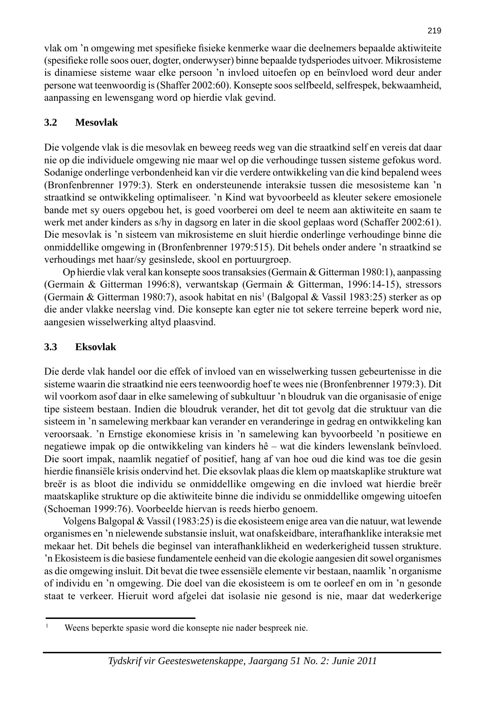vlak om 'n omgewing met spesifieke fisieke kenmerke waar die deelnemers bepaalde aktiwiteite (spesifieke rolle soos ouer, dogter, onderwyser) binne bepaalde tydsperiodes uitvoer. Mikrosisteme is dinamiese sisteme waar elke persoon 'n invloed uitoefen op en beïn vloed word deur ander persone wat teenwoordig is (Shaffer 2002:60). Konsepte soos selfbeeld, selfrespek, bekwaamheid, aanpassing en lewensgang word op hierdie vlak gevind.

## **3.2 Mesovlak**

Die volgende vlak is die mesovlak en beweeg reeds weg van die straatkind self en vereis dat daar nie op die individuele omgewing nie maar wel op die verhoudinge tussen sisteme gefokus word. Sodanige onderlinge verbondenheid kan vir die verdere ont wik keling van die kind bepalend wees (Bronfenbrenner 1979:3). Sterk en ondersteunende interaksie tussen die mesosisteme kan 'n straatkind se ontwikkeling optimaliseer. 'n Kind wat byvoorbeeld as kleuter sekere emosionele bande met sy ouers opgebou het, is goed voorberei om deel te neem aan aktiwiteite en saam te werk met ander kinders as s/hy in dagsorg en later in die skool geplaas word (Schaffer 2002:61). Die mesovlak is 'n sisteem van mikrosisteme en sluit hierdie on derlinge verhoudinge binne die onmiddellike omgewing in (Bronfenbrenner 1979:515). Dit behels onder andere 'n straatkind se verhoudings met haar/sy gesinslede, skool en portuurgroep.

 Op hierdie vlak veral kan konsepte soos transaksies (Germain & Gitterman 1980:1), aanpassing (Germain & Gitterman 1996:8), verwantskap (Germain & Gitterman, 1996:14-15), stressors (Germain & Gitterman 1980:7), asook habitat en nis<sup>1</sup> (Balgopal & Vassil 1983:25) sterker as op die ander vlakke neerslag vind. Die konsepte kan egter nie tot sekere terreine beperk word nie, aangesien wis sel werking altyd plaasvind.

## **3.3 Eksovlak**

Die derde vlak handel oor die effek of invloed van en wisselwerking tussen gebeurtenisse in die sisteme waarin die straatkind nie eers teenwoordig hoef te wees nie (Bronfenbrenner 1979:3). Dit wil voorkom asof daar in elke samelewing of subkultuur 'n bloudruk van die organisasie of enige tipe sisteem bestaan. Indien die bloudruk verander, het dit tot gevolg dat die struktuur van die sisteem in 'n samelewing merkbaar kan verander en veranderinge in gedrag en ontwikkeling kan ver oorsaak. 'n Ernstige ekonomiese krisis in 'n samelewing kan byvoorbeeld 'n positiewe en negatiewe impak op die ontwikkeling van kinders hê – wat die kinders lewenslank beïnvloed. Die soort impak, naamlik negatief of positief, hang af van hoe oud die kind was toe die gesin hierdie finansiële krisis ondervind het. Die eksovlak plaas die klem op maatskaplike strukture wat breër is as bloot die individu se onmiddellike omgewing en die invloed wat hierdie breër maatskaplike strukture op die aktiwiteite binne die individu se onmiddellike om gewing uitoefen (Schoeman 1999:76). Voorbeelde hiervan is reeds hierbo genoem.

 Volgens Balgopal & Vassil (1983:25) is die ekosisteem enige area van die natuur, wat lewende organismes en 'n nielewende substansie insluit, wat onafskeidbare, in ter afhanklike interaksie met mekaar het. Dit behels die beginsel van interafhanklikheid en wederkerigheid tussen strukture. 'n Ekosisteem is die basiese fundamentele een heid van die ekologie aangesien dit sowel organismes as die omgewing insluit. Dit bevat die twee essensiële elemente vir bestaan, naamlik 'n organisme of individu en 'n omgewing. Die doel van die ekosisteem is om te oorleef en om in 'n gesonde staat te verkeer. Hieruit word afgelei dat isolasie nie gesond is nie, maar dat wederkerige

<sup>1</sup> Weens beperkte spasie word die konsepte nie nader bespreek nie.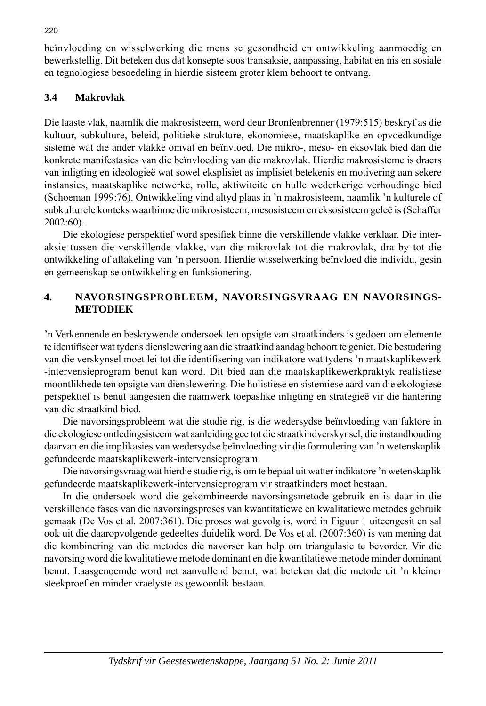beïnvloeding en wisselwerking die mens se gesondheid en ontwikkeling aanmoedig en bewerkstellig. Dit beteken dus dat konsepte soos transaksie, aanpassing, habitat en nis en sosiale en tegnologiese besoedeling in hierdie sisteem groter klem behoort te ontvang.

## **3.4 Makrovlak**

Die laaste vlak, naamlik die makrosisteem, word deur Bronfenbrenner (1979:515) beskryf as die kultuur, subkulture, beleid, politieke strukture, ekonomiese, maatskaplike en opvoedkundige sisteme wat die ander vlakke omvat en beïnvloed. Die mikro-, meso- en eksovlak bied dan die konkrete manifestasies van die beïnvloeding van die makrovlak. Hierdie makrosisteme is draers van inligting en ideologieë wat sowel eksplisiet as implisiet betekenis en motivering aan sekere instansies, maatskaplike netwerke, rolle, aktiwiteite en hulle wederkerige verhoudinge bied (Schoeman 1999:76). Ontwikkeling vind altyd plaas in 'n makrosisteem, naamlik 'n kulturele of subkulturele konteks waarbinne die mikrosisteem, mesosisteem en eksosisteem geleë is (Schaffer 2002:60).

Die ekologiese perspektief word spesifiek binne die verskillende vlakke verklaar. Die interaksie tussen die verskillende vlakke, van die mikrovlak tot die makrovlak, dra by tot die ontwikkeling of aftakeling van 'n persoon. Hierdie wis sel werking beïnvloed die individu, gesin en gemeenskap se ontwikkeling en funksionering.

## **4. NAVORSINGSPROBLEEM, NAVORSINGSVRAAG EN NAVORSINGS-METODIEK**

'n Verkennende en beskrywende ondersoek ten opsigte van straat kinders is gedoen om elemente te identifi seer wat tydens dienslewering aan die straatkind aandag behoort te geniet. Die bestudering van die verskynsel moet lei tot die identifisering van indikatore wat tydens 'n maatskaplike werk -intervensieprogram benut kan word. Dit bied aan die maatskaplikewerkpraktyk realistiese moontlikhede ten opsigte van diens lewering. Die holistiese en sistemiese aard van die ekologiese perspektief is benut aangesien die raamwerk toepaslike inligting en strategieë vir die hantering van die straatkind bied.

 Die navorsingsprobleem wat die studie rig, is die wedersydse beïn vloeding van faktore in die ekologiese ontledingsisteem wat aanleiding gee tot die straatkindverskynsel, die instandhouding daarvan en die implikasies van wedersydse beïnvloeding vir die formulering van 'n wetenskaplik gefundeerde maatskaplikewerk-intervensieprogram.

 Die navorsingsvraag wat hierdie studie rig, is om te bepaal uit watter indikatore 'n wetenskaplik gefundeerde maatskaplikewerk-intervensieprogram vir straatkinders moet bestaan.

 In die ondersoek word die gekombineerde navorsingsmetode gebruik en is daar in die verskillende fases van die navorsingsproses van kwantitatiewe en kwalitatiewe metodes gebruik gemaak (De Vos et al*.* 2007:361). Die proses wat gevolg is, word in Figuur 1 uiteengesit en sal ook uit die daaropvolgende gedeeltes duidelik word. De Vos et al. (2007:360) is van mening dat die kombinering van die metodes die navorser kan help om triangulasie te bevorder. Vir die navorsing word die kwalitatiewe metode dominant en die kwantitatiewe metode minder dominant benut. Laasgenoemde word net aanvullend benut, wat beteken dat die metode uit 'n kleiner steekproef en minder vraelyste as gewoonlik bestaan.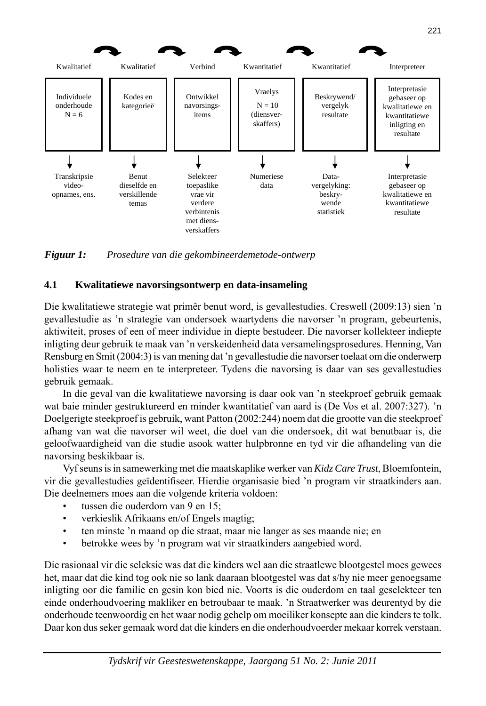

*Figuur 1: Prosedure van die gekombineerdemetode-ontwerp*

## **4.1 Kwalitatiewe navorsingsontwerp en data-insameling**

Die kwalitatiewe strategie wat primêr benut word, is gevallestudies. Creswell (2009:13) sien 'n gevallestudie as 'n strategie van ondersoek waartydens die navorser 'n program, gebeurtenis, aktiwiteit, proses of een of meer individue in diepte bestudeer. Die navorser kollekteer indiepte inligting deur gebruik te maak van 'n verskeidenheid data versamelingsprosedures. Henning, Van Rensburg en Smit (2004:3) is van mening dat 'n gevallestudie die navorser toelaat om die onderwerp holisties waar te neem en te interpreteer. Tydens die navorsing is daar van ses gevallestudies gebruik gemaak.

 In die geval van die kwalitatiewe navorsing is daar ook van 'n steekproef gebruik gemaak wat baie minder gestruktureerd en minder kwantitatief van aard is (De Vos et al. 2007:327). 'n Doelgerigte steekproef is gebruik, want Patton (2002:244) noem dat die grootte van die steekproef afhang van wat die navorser wil weet, die doel van die onder soek, dit wat benutbaar is, die geloofwaardigheid van die studie asook watter hulpbronne en tyd vir die afhandeling van die navorsing beskikbaar is.

 Vyf seuns is in samewerking met die maatskaplike werker van *Kidz Care Trust*, Bloemfontein, vir die gevallestudies geïdentifiseer. Hierdie organisasie bied 'n program vir straatkinders aan. Die deelnemers moes aan die volgende kriteria voldoen:

- tussen die ouderdom van 9 en 15;
- verkieslik Afrikaans en/of Engels magtig;
- ten minste 'n maand op die straat, maar nie langer as ses maande nie; en
- betrokke wees by 'n program wat vir straatkinders aangebied word.

Die rasionaal vir die seleksie was dat die kinders wel aan die straatlewe blootgestel moes gewees het, maar dat die kind tog ook nie so lank daaraan blootgestel was dat s/hy nie meer genoegsame inligting oor die familie en gesin kon bied nie. Voorts is die ouderdom en taal geselekteer ten einde onderhoudvoering makliker en betroubaar te maak. 'n Straatwerker was deurentyd by die onderhoude teenwoordig en het waar nodig gehelp om moeiliker konsepte aan die kinders te tolk. Daar kon dus seker gemaak word dat die kinders en die onderhoudvoerder mekaar korrek verstaan.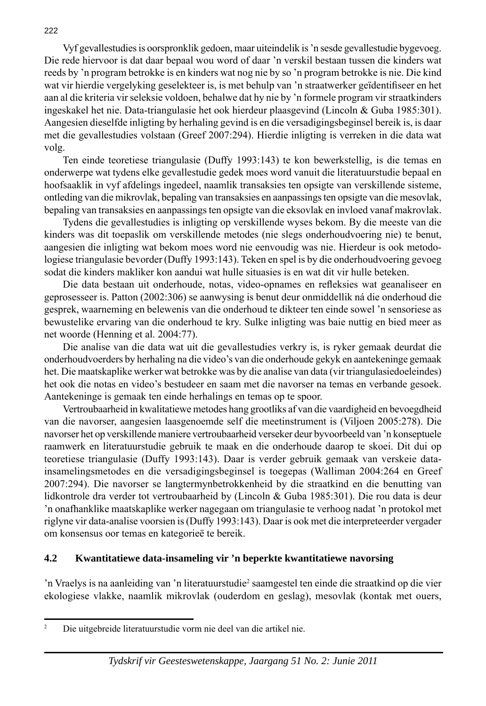Vyf gevallestudies is oorspronklik gedoen, maar uiteindelik is 'n sesde gevallestudie bygevoeg. Die rede hiervoor is dat daar bepaal wou word of daar 'n verskil bestaan tussen die kinders wat reeds by 'n program betrokke is en kinders wat nog nie by so 'n program betrokke is nie. Die kind wat vir hierdie vergelyking geselekteer is, is met behulp van 'n straatwerker geïdentifiseer en het aan al die kriteria vir seleksie voldoen, behalwe dat hy nie by 'n formele program vir straatkinders ingeskakel het nie. Data-triangulasie het ook hierdeur plaasgevind (Lincoln & Guba 1985:301). Aangesien dieselfde inligting by herhaling gevind is en die versadigingsbeginsel bereik is, is daar met die gevallestudies volstaan (Greef 2007:294). Hierdie inligting is verreken in die data wat volg.

 Ten einde teoretiese triangulasie (Duffy 1993:143) te kon bewerkstellig, is die temas en onderwerpe wat tydens elke gevallestudie gedek moes word vanuit die literatuur studie bepaal en hoofsaaklik in vyf afdelings ingedeel, naamlik transaksies ten opsigte van verskillende sisteme, ontleding van die mikrovlak, bepaling van transaksies en aan pas sings ten opsigte van die mesovlak, bepaling van transaksies en aanpassings ten opsigte van die eksovlak en invloed vanaf makrovlak.

 Tydens die gevallestudies is inligting op verskillende wyses bekom. By die meeste van die kinders was dit toepaslik om verskillende metodes (nie slegs onderhoudvoering nie) te benut, aangesien die inligting wat bekom moes word nie eenvoudig was nie. Hierdeur is ook metodologiese triangulasie bevorder (Duffy 1993:143). Teken en spel is by die onderhoudvoering gevoeg sodat die kinders makliker kon aandui wat hulle situasies is en wat dit vir hulle beteken.

Die data bestaan uit onderhoude, notas, video-opnames en refleksies wat geanaliseer en geprosesseer is. Patton (2002:306) se aanwysing is benut deur on middellik ná die onderhoud die gesprek, waarneming en belewenis van die onderhoud te dikteer ten einde sowel 'n sensoriese as bewustelike ervaring van die onderhoud te kry. Sulke in ligting was baie nuttig en bied meer as net woorde (Henning et al. 2004:77).

 Die analise van die data wat uit die gevallestudies verkry is, is ryker gemaak deurdat die onderhoudvoerders by herhaling na die video's van die onderhoude gekyk en aantekeninge gemaak het. Die maatskaplike werker wat betrokke was by die analise van data (vir triangulasiedoeleindes) het ook die notas en video's bestudeer en saam met die navorser na temas en verbande gesoek. Aantekeninge is gemaak ten einde herhalings en temas op te spoor.

 Vertroubaarheid in kwalitatiewe metodes hang grootliks af van die vaardigheid en bevoegdheid van die navorser, aangesien laasgenoemde self die meetinstrument is (Viljoen 2005:278). Die navorser het op verskillende maniere vertroubaarheid verseker deur byvoorbeeld van 'n konseptuele raamwerk en literatuurstudie gebruik te maak en die onderhoude daarop te skoei. Dit dui op teoretiese triangulasie (Duffy 1993:143). Daar is verder gebruik gemaak van verskeie datainsamelingsmetodes en die versadigingsbeginsel is toegepas (Walliman 2004:264 en Greef 2007:294). Die navorser se langtermynbetrokkenheid by die straatkind en die benutting van lidkontrole dra verder tot vertroubaarheid by (Lincoln & Guba 1985:301). Die rou data is deur 'n onafhanklike maatskaplike werker nagegaan om triangulasie te verhoog nadat 'n protokol met riglyne vir data-analise voorsien is (Duffy 1993:143). Daar is ook met die interpreteerder vergader om konsensus oor temas en kategorieë te bereik.

#### **4.2 Kwantitatiewe data-insameling vir 'n beperkte kwantitatiewe navorsing**

'n Vraelys is na aanleiding van 'n literatuurstudie<sup>2</sup> saamgestel ten einde die straatkind op die vier ekologiese vlakke, naamlik mikrovlak (ouderdom en geslag), mesovlak (kontak met ouers,

<sup>2</sup> Die uitgebreide literatuurstudie vorm nie deel van die artikel nie.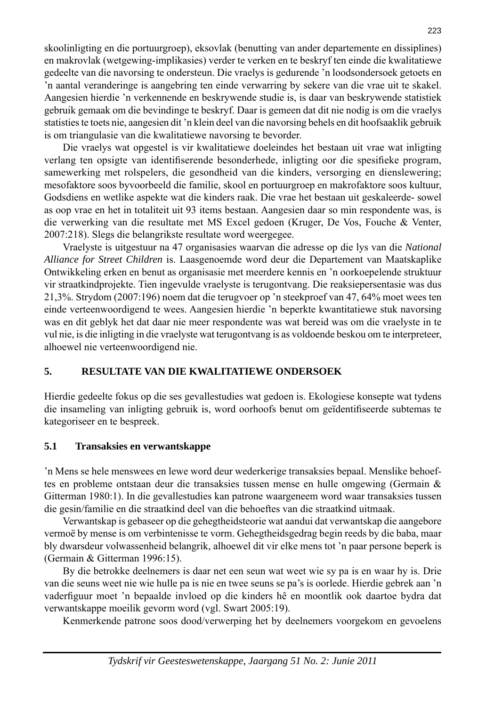skoolinligting en die portuurgroep), eksovlak (benutting van ander departemente en dissiplines) en makrovlak (wetgewing-implikasies) verder te verken en te beskryf ten einde die kwalitatiewe gedeelte van die navorsing te ondersteun. Die vraelys is gedurende 'n loodsondersoek getoets en 'n aantal veranderinge is aangebring ten einde verwarring by sekere van die vrae uit te skakel. Aangesien hierdie 'n verkennende en beskrywende studie is, is daar van beskrywende statistiek gebruik gemaak om die bevindinge te beskryf. Daar is gemeen dat dit nie nodig is om die vraelys statisties te toets nie, aangesien dit 'n klein deel van die navorsing behels en dit hoofsaaklik gebruik is om triangulasie van die kwalitatiewe navorsing te bevorder.

 Die vraelys wat opgestel is vir kwalitatiewe doeleindes het bestaan uit vrae wat inligting verlang ten opsigte van identifiserende besonderhede, inligting oor die spesifieke program, samewerking met rolspelers, die gesondheid van die kinders, versorging en dienslewering; mesofaktore soos byvoorbeeld die familie, skool en portuurgroep en makrofaktore soos kultuur, Godsdiens en wetlike aspekte wat die kinders raak. Die vrae het bestaan uit geskaleerde- sowel as oop vrae en het in totaliteit uit 93 items bestaan. Aangesien daar so min respondente was, is die verwerking van die resultate met MS Excel gedoen (Kruger, De Vos, Fouche & Venter, 2007:218). Slegs die belangrikste resultate word weergegee.

 Vraelyste is uitgestuur na 47 organisasies waarvan die adresse op die lys van die *National Alliance for Street Children* is. Laasgenoemde word deur die Departement van Maatskaplike Ontwikkeling erken en benut as organisasie met meerdere kennis en 'n oorkoepelende struktuur vir straatkindprojekte. Tien ingevulde vraelyste is terugontvang. Die reaksie persentasie was dus 21,3%. Strydom (2007:196) noem dat die terugvoer op 'n steekproef van 47, 64% moet wees ten einde verteenwoordigend te wees. Aangesien hierdie 'n beperkte kwantitatiewe stuk navorsing was en dit geblyk het dat daar nie meer respondente was wat bereid was om die vraelyste in te vul nie, is die inligting in die vraelyste wat terugontvang is as voldoende beskou om te interpreteer, alhoewel nie verteenwoordigend nie.

## **5. RESULTATE VAN DIE KWALITATIEWE ONDERSOEK**

Hierdie gedeelte fokus op die ses gevallestudies wat gedoen is. Ekologiese konsepte wat tydens die insameling van inligting gebruik is, word oorhoofs benut om geïdentifiseerde subtemas te kategoriseer en te bespreek.

## **5.1 Transaksies en verwantskappe**

'n Mens se hele menswees en lewe word deur wederkerige transaksies bepaal. Menslike behoeftes en probleme ontstaan deur die transaksies tussen mense en hulle omgewing (Germain & Gitterman 1980:1). In die gevallestudies kan patrone waargeneem word waar transaksies tussen die gesin/familie en die straatkind deel van die behoeftes van die straatkind uitmaak.

 Verwantskap is gebaseer op die gehegtheidsteorie wat aandui dat verwantskap die aan gebore vermoë by mense is om verbintenisse te vorm. Gehegtheidsgedrag begin reeds by die baba, maar bly dwarsdeur volwassenheid belangrik, alhoewel dit vir elke mens tot 'n paar persone beperk is (Germain & Gitterman 1996:15).

 By die betrokke deelnemers is daar net een seun wat weet wie sy pa is en waar hy is. Drie van die seuns weet nie wie hulle pa is nie en twee seuns se pa's is oorlede. Hierdie gebrek aan 'n vaderfiguur moet 'n bepaalde invloed op die kinders hê en moontlik ook daartoe bydra dat verwantskappe moeilik gevorm word (vgl. Swart 2005:19).

Kenmerkende patrone soos dood/verwerping het by deelnemers voorgekom en gevoelens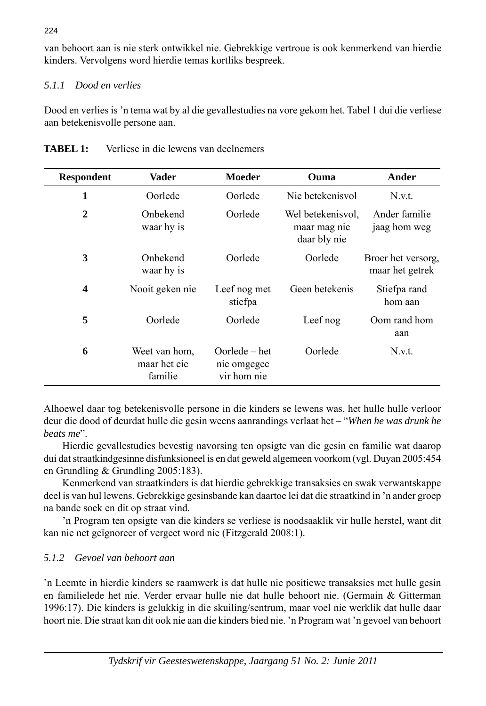van behoort aan is nie sterk ontwikkel nie. Gebrekkige vertroue is ook kenmerkend van hierdie kinders. Vervolgens word hierdie temas kortliks bespreek.

## *5.1.1 Dood en verlies*

Dood en verlies is 'n tema wat by al die gevallestudies na vore gekom het. Tabel 1 dui die verliese aan betekenisvolle persone aan.

| <b>Respondent</b> | Vader                                    | Moeder                                        | Ouma                                              | Ander                                 |
|-------------------|------------------------------------------|-----------------------------------------------|---------------------------------------------------|---------------------------------------|
| 1                 | Oorlede                                  | Oorlede                                       | Nie betekenisvol                                  | N.v.t.                                |
| $\mathbf{2}$      | Onbekend<br>waar hy is                   | Oorlede                                       | Wel betekenisvol.<br>maar mag nie<br>daar bly nie | Ander familie<br>jaag hom weg         |
| 3                 | Onbekend<br>waar hy is                   | Oorlede                                       | Oorlede                                           | Broer het versorg,<br>maar het getrek |
| $\boldsymbol{4}$  | Nooit geken nie                          | Leef nog met<br>stiefpa                       | Geen betekenis                                    | Stiefpa rand<br>hom aan               |
| 5                 | Oorlede                                  | Oorlede                                       | Leef nog                                          | Oom rand hom<br>aan                   |
| 6                 | Weet van hom,<br>maar het eie<br>familie | $Oorlede - het$<br>nie omgegee<br>vir hom nie | Oorlede                                           | N.v.t.                                |

| <b>TABEL 1:</b> | Verliese in die lewens van deelnemers |
|-----------------|---------------------------------------|
|-----------------|---------------------------------------|

Alhoewel daar tog betekenisvolle persone in die kinders se lewens was, het hulle hulle verloor deur die dood of deurdat hulle die gesin weens aanrandings verlaat het – "*When he was drunk he beats me*".

Hierdie gevallestudies bevestig navorsing ten opsigte van die gesin en familie wat daarop dui dat straatkindgesinne disfunksioneel is en dat geweld algemeen voorkom (vgl. Duyan 2005:454 en Grundling & Grundling 2005:183).

Kenmerkend van straatkinders is dat hierdie gebrekkige transaksies en swak verwantskappe deel is van hul lewens. Gebrekkige gesinsbande kan daartoe lei dat die straatkind in 'n ander groep na bande soek en dit op straat vind.

 'n Program ten opsigte van die kinders se verliese is noodsaaklik vir hulle herstel, want dit kan nie net geïgnoreer of vergeet word nie (Fitzgerald 2008:1).

# *5.1.2 Gevoel van behoort aan*

'n Leemte in hierdie kinders se raamwerk is dat hulle nie positiewe transaksies met hulle gesin en familielede het nie. Verder ervaar hulle nie dat hulle behoort nie. (Germain & Gitterman 1996:17). Die kinders is gelukkig in die skuiling/sentrum, maar voel nie werklik dat hulle daar hoort nie. Die straat kan dit ook nie aan die kinders bied nie. 'n Program wat 'n gevoel van behoort

224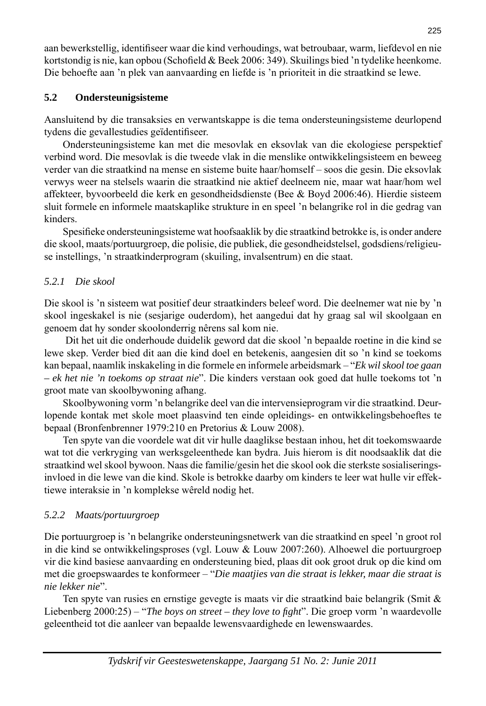aan bewerkstellig, identifiseer waar die kind verhoudings, wat betroubaar, warm, liefdevol en nie kortstondig is nie, kan opbou (Schofield & Beek 2006: 349). Skuilings bied 'n tydelike heenkome. Die behoefte aan 'n plek van aanvaarding en liefde is 'n prioriteit in die straatkind se lewe.

## **5.2 Ondersteunigsisteme**

Aansluitend by die transaksies en verwantskappe is die tema ondersteuningsisteme deur lopend tydens die gevallestudies geïdentifiseer.

Ondersteuningsisteme kan met die mesovlak en eksovlak van die ekologiese perspektief verbind word. Die mesovlak is die tweede vlak in die menslike ontwikkelingsisteem en beweeg verder van die straatkind na mense en sisteme buite haar/homself – soos die gesin. Die eksovlak verwys weer na stelsels waarin die straatkind nie aktief deelneem nie, maar wat haar/hom wel affekteer, byvoorbeeld die kerk en gesondheidsdienste (Bee & Boyd 2006:46). Hierdie sisteem sluit formele en informele maatskaplike strukture in en speel 'n belangrike rol in die gedrag van kinders.

Spesifieke ondersteuningsisteme wat hoofsaaklik by die straatkind betrokke is, is onder andere die skool, maats/portuurgroep, die polisie, die publiek, die gesondheidstelsel, gods diens/religieuse instellings, 'n straatkinderprogram (skuiling, invalsentrum) en die staat.

## *5.2.1 Die skool*

Die skool is 'n sisteem wat positief deur straatkinders beleef word. Die deelnemer wat nie by 'n skool ingeskakel is nie (sesjarige ouderdom), het aangedui dat hy graag sal wil skoolgaan en genoem dat hy sonder skoolonderrig nêrens sal kom nie.

 Dit het uit die onderhoude duidelik geword dat die skool 'n bepaalde roetine in die kind se lewe skep. Verder bied dit aan die kind doel en betekenis, aangesien dit so 'n kind se toekoms kan bepaal, naamlik inskakeling in die formele en informele arbeidsmark – "*Ek wil skool toe gaan – ek het nie 'n toekoms op straat nie*". Die kinders verstaan ook goed dat hulle toekoms tot 'n groot mate van skoolbywoning afhang.

 Skoolbywoning vorm 'n belangrike deel van die intervensieprogram vir die straatkind. Deur lopende kontak met skole moet plaasvind ten einde opleidings- en ontwikkelingsbehoeftes te bepaal (Bronfenbrenner 1979:210 en Pretorius & Louw 2008).

 Ten spyte van die voordele wat dit vir hulle daaglikse bestaan inhou, het dit toekomswaarde wat tot die verkryging van werksgeleenthede kan bydra. Juis hierom is dit noodsaaklik dat die straatkind wel skool bywoon. Naas die familie/gesin het die skool ook die sterkste sosialiseringsinvloed in die lewe van die kind. Skole is betrokke daarby om kinders te leer wat hulle vir effektiewe interaksie in 'n komplekse wêreld nodig het.

# *5.2.2 Maats/portuurgroep*

Die portuurgroep is 'n belangrike ondersteuningsnetwerk van die straatkind en speel 'n groot rol in die kind se ontwikkelingsproses (vgl. Louw & Louw 2007:260). Alhoewel die portuur groep vir die kind basiese aanvaarding en ondersteuning bied, plaas dit ook groot druk op die kind om met die groepswaardes te konformeer – "*Die maatjies van die straat is lekker, maar die straat is nie lekker nie*".

 Ten spyte van rusies en ernstige gevegte is maats vir die straatkind baie belangrik (Smit & Liebenberg 2000:25) – "*The boys on street – they love to fight*". Die groep vorm 'n waardevolle geleentheid tot die aanleer van bepaalde lewensvaardighede en lewenswaardes.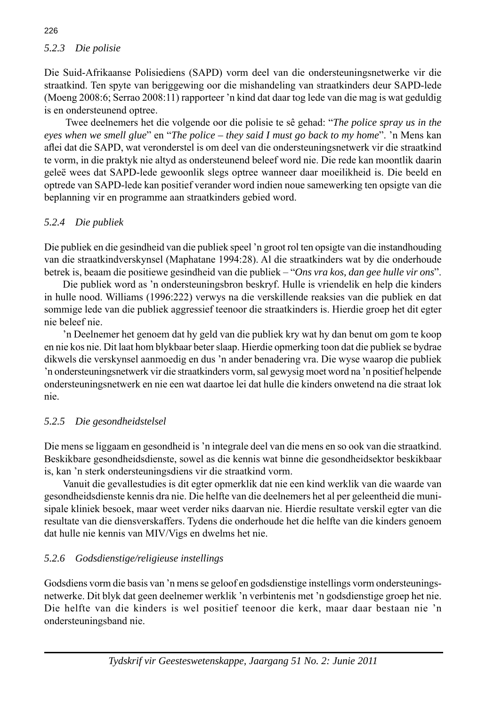## *5.2.3 Die polisie*

Die Suid-Afrikaanse Polisiediens (SAPD) vorm deel van die ondersteuningsnetwerke vir die straatkind. Ten spyte van beriggewing oor die mishandeling van straatkinders deur SAPD-lede (Moeng 2008:6; Serrao 2008:11) rapporteer 'n kind dat daar tog lede van die mag is wat gedul dig is en ondersteunend optree.

 Twee deelnemers het die volgende oor die polisie te sê gehad: "*The police spray us in the eyes when we smell glue*" en "*The police – they said I must go back to my home*". 'n Mens kan aflei dat die SAPD, wat veronderstel is om deel van die ondersteuningsnetwerk vir die straatkind te vorm, in die praktyk nie altyd as ondersteunend beleef word nie. Die rede kan moontlik daarin geleë wees dat SAPD-lede gewoonlik slegs optree wanneer daar moeilikheid is. Die beeld en optrede van SAPD-lede kan positief verander word indien noue same werking ten opsigte van die beplanning vir en programme aan straatkinders gebied word.

## *5.2.4 Die publiek*

Die publiek en die gesindheid van die publiek speel 'n groot rol ten opsigte van die instand houding van die straatkindverskynsel (Maphatane 1994:28). Al die straatkinders wat by die onderhoude betrek is, beaam die positiewe gesindheid van die publiek – "*Ons vra kos, dan gee hulle vir ons*".

 Die publiek word as 'n ondersteuningsbron beskryf. Hulle is vriendelik en help die kinders in hulle nood. Williams (1996:222) verwys na die verskillende reaksies van die publiek en dat sommige lede van die publiek aggressief teenoor die straatkinders is. Hier die groep het dit egter nie beleef nie.

'n Deelnemer het genoem dat hy geld van die publiek kry wat hy dan benut om gom te koop en nie kos nie. Dit laat hom blykbaar beter slaap. Hierdie opmerking toon dat die publiek se bydrae dikwels die verskynsel aanmoedig en dus 'n ander benadering vra. Die wyse waarop die publiek 'n ondersteuningsnetwerk vir die straatkinders vorm, sal gewysig moet word na 'n positief helpende ondersteuningsnetwerk en nie een wat daartoe lei dat hulle die kinders onwetend na die straat lok nie.

#### *5.2.5 Die gesondheidstelsel*

Die mens se liggaam en gesondheid is 'n integrale deel van die mens en so ook van die straatkind. Beskikbare gesondheidsdienste, sowel as die kennis wat binne die gesondheidsektor beskikbaar is, kan 'n sterk ondersteuningsdiens vir die straatkind vorm.

 Vanuit die gevallestudies is dit egter opmerklik dat nie een kind werklik van die waarde van gesondheidsdienste kennis dra nie. Die helfte van die deelnemers het al per geleentheid die munisipale kliniek besoek, maar weet verder niks daarvan nie. Hierdie resultate verskil egter van die resultate van die diensverskaffers. Tydens die onderhoude het die helfte van die kinders genoem dat hulle nie kennis van MIV/Vigs en dwelms het nie.

#### *5.2.6 Godsdienstige/religieuse instellings*

Godsdiens vorm die basis van 'n mens se geloof en godsdienstige instellings vorm ondersteuningsnet werke. Dit blyk dat geen deelnemer werklik 'n verbintenis met 'n godsdienstige groep het nie. Die helfte van die kinders is wel positief teenoor die kerk, maar daar bestaan nie 'n ondersteuningsband nie.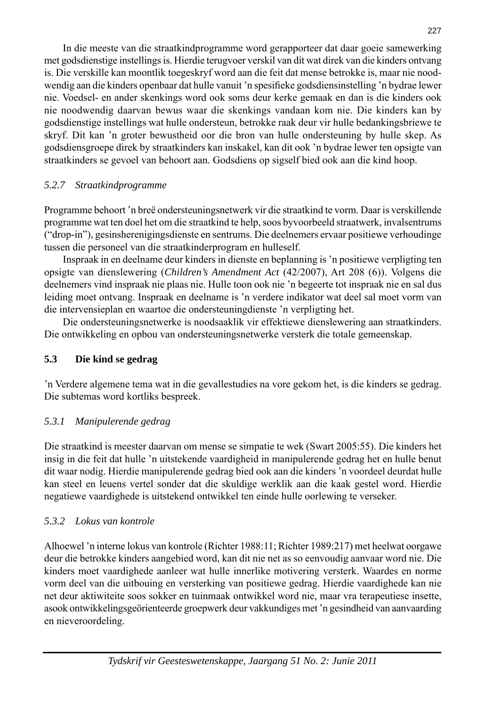In die meeste van die straatkindprogramme word gerapporteer dat daar goeie samewerking met godsdienstige instellings is. Hierdie terugvoer verskil van dít wat direk van die kinders ontvang is. Die verskille kan moontlik toegeskryf word aan die feit dat mense betrokke is, maar nie noodwendig aan die kinders openbaar dat hulle vanuit 'n spesifieke gods diens instelling 'n bydrae lewer nie. Voedsel- en ander skenkings word ook soms deur kerke gemaak en dan is die kinders ook nie noodwendig daarvan bewus waar die skenkings vandaan kom nie. Die kinders kan by godsdienstige instellings wat hulle ondersteun, betrokke raak deur vir hulle bedankingsbriewe te skryf. Dit kan 'n groter bewustheid oor die bron van hulle ondersteuning by hulle skep. As godsdiensgroepe direk by straatkinders kan inskakel, kan dit ook 'n bydrae lewer ten opsigte van straatkinders se gevoel van behoort aan. Godsdiens op sig self bied ook aan die kind hoop.

## *5.2.7 Straatkindprogramme*

Programme behoort 'n breë ondersteuningsnetwerk vir die straatkind te vorm. Daar is verskillende pro gramme wat ten doel het om die straatkind te help, soos byvoorbeeld straat werk, invalsentrums ("drop-in"), gesinsherenigingsdienste en sentrums. Die deelnemers ervaar positiewe verhoudinge tussen die personeel van die straatkinderprogram en hulleself.

 Inspraak in en deelname deur kinders in dienste en beplanning is 'n positiewe verpligting ten op sigte van dienslewering (*Children's Amendment Act* (42/2007), Art 208 (6)). Volgens die deelnemers vind inspraak nie plaas nie. Hulle toon ook nie 'n begeerte tot inspraak nie en sal dus leiding moet ontvang. Inspraak en deelname is 'n verdere indikator wat deel sal moet vorm van die intervensieplan en waartoe die ondersteuningdienste 'n verpligting het.

Die ondersteuningsnetwerke is noodsaaklik vir effektiewe dienslewering aan straatkinders. Die ontwikkeling en opbou van ondersteuningsnetwerke versterk die totale gemeen skap.

## **5.3 Die kind se gedrag**

'n Verdere algemene tema wat in die gevallestudies na vore gekom het, is die kinders se gedrag. Die subtemas word kortliks bespreek.

## *5.3.1 Manipulerende gedrag*

Die straatkind is meester daarvan om mense se simpatie te wek (Swart 2005:55). Die kinders het insig in die feit dat hulle 'n uitstekende vaardigheid in manipulerende gedrag het en hulle benut dit waar nodig. Hierdie manipulerende gedrag bied ook aan die kinders 'n voordeel deurdat hulle kan steel en leuens vertel sonder dat die skuldige werklik aan die kaak gestel word. Hierdie negatiewe vaardighede is uitstekend ontwikkel ten einde hulle oor lewing te verseker.

## *5.3.2 Lokus van kontrole*

Alhoewel 'n interne lokus van kontrole (Richter 1988:11; Richter 1989:217) met heelwat oorgawe deur die betrokke kinders aangebied word, kan dit nie net as so eenvoudig aan vaar word nie. Die kinders moet vaardighede aanleer wat hulle innerlike motivering versterk. Waardes en norme vorm deel van die uitbouing en versterking van positiewe gedrag. Hierdie vaardighede kan nie net deur aktiwiteite soos sokker en tuinmaak ont wik kel word nie, maar vra terapeutiese insette, asook ontwikkelingsgeörienteerde groepwerk deur vakkundiges met 'n gesindheid van aanvaarding en nieveroordeling.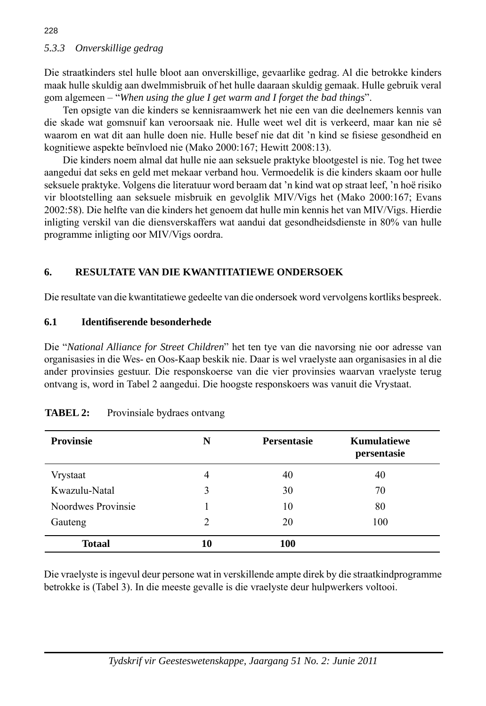Die straatkinders stel hulle bloot aan onverskillige, gevaarlike gedrag. Al die betrokke kinders maak hulle skuldig aan dwelmmisbruik of het hulle daaraan skuldig gemaak. Hulle gebruik veral gom algemeen – "*When using the glue I get warm and I forget the bad things*".

 Ten opsigte van die kinders se kennisraamwerk het nie een van die deelnemers kennis van die skade wat gomsnuif kan veroorsaak nie. Hulle weet wel dit is verkeerd, maar kan nie sê waarom en wat dit aan hulle doen nie. Hulle besef nie dat dit 'n kind se fisiese gesondheid en kognitiewe aspekte beïnvloed nie (Mako 2000:167; Hewitt 2008:13).

 Die kinders noem almal dat hulle nie aan seksuele praktyke blootgestel is nie. Tog het twee aan gedui dat seks en geld met mekaar verband hou. Vermoedelik is die kinders skaam oor hulle seksuele praktyke. Volgens die literatuur word beraam dat 'n kind wat op straat leef, 'n hoë risiko vir blootstelling aan seksuele misbruik en gevolglik MIV/Vigs het (Mako 2000:167; Evans 2002:58). Die helfte van die kinders het genoem dat hulle min kennis het van MIV/Vigs. Hierdie inligting verskil van die diensverskaffers wat aandui dat gesondheidsdienste in 80% van hulle programme inligting oor MIV/Vigs oordra.

## **6. RESULTATE VAN DIE KWANTITATIEWE ONDERSOEK**

Die resultate van die kwantitatiewe gedeelte van die ondersoek word vervolgens kortliks bespreek.

## **6.1 Identifi serende besonderhede**

Die "*National Alliance for Street Children*" het ten tye van die navorsing nie oor adresse van organisasies in die Wes- en Oos-Kaap beskik nie. Daar is wel vraelyste aan organisasies in al die ander provinsies gestuur. Die responskoerse van die vier provinsies waarvan vraelyste terug ontvang is, word in Tabel 2 aangedui. Die hoogste responskoers was vanuit die Vrystaat.

| <b>Provinsie</b>   | N  | <b>Persentasie</b> | <b>Kumulatiewe</b><br>persentasie |
|--------------------|----|--------------------|-----------------------------------|
| Vrystaat           | 4  | 40                 | 40                                |
| Kwazulu-Natal      | 3  | 30                 | 70                                |
| Noordwes Provinsie |    | 10                 | 80                                |
| Gauteng            | 2  | 20                 | 100                               |
| <b>Totaal</b>      | 10 | 100                |                                   |

| <b>TABEL 2:</b> | Provinsiale bydraes ontvang |  |  |
|-----------------|-----------------------------|--|--|
|-----------------|-----------------------------|--|--|

Die vraelyste is ingevul deur persone wat in verskillende ampte direk by die straatkindprogramme betrokke is (Tabel 3). In die meeste gevalle is die vraelyste deur hulpwerkers voltooi.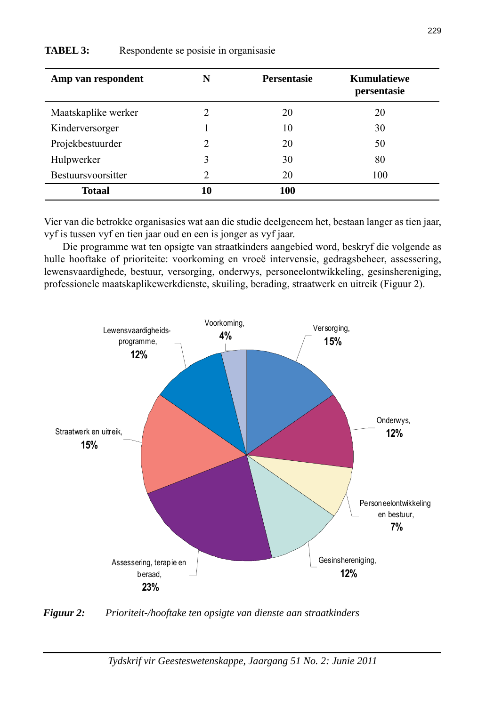| Amp van respondent  | N  | <b>Persentasie</b> | <b>Kumulatiewe</b><br>persentasie |
|---------------------|----|--------------------|-----------------------------------|
| Maatskaplike werker | 2  | 20                 | 20                                |
| Kinderversorger     |    | 10                 | 30                                |
| Projekbestuurder    | 2  | 20                 | 50                                |
| Hulpwerker          | 3  | 30                 | 80                                |
| Bestuursvoorsitter  | 2  | 20                 | 100                               |
| <b>Totaal</b>       | 10 | 100                |                                   |

#### **TABEL 3:** Respondente se posisie in organisasie

Vier van die betrokke organisasies wat aan die studie deelgeneem het, bestaan langer as tien jaar, vyf is tussen vyf en tien jaar oud en een is jonger as vyf jaar.

 Die programme wat ten opsigte van straatkinders aangebied word, beskryf die volgende as hulle hooftake of prioriteite: voorkoming en vroeë intervensie, gedragsbeheer, assessering, lewensvaardighede, bestuur, versorging, onderwys, personeelontwikkeling, gesinshereniging, professionele maatskaplikewerkdienste, skuiling, berading, straatwerk en uitreik (Figuur 2).



*Figuur 2: Prioriteit-/hooftake ten opsigte van dienste aan straatkinders*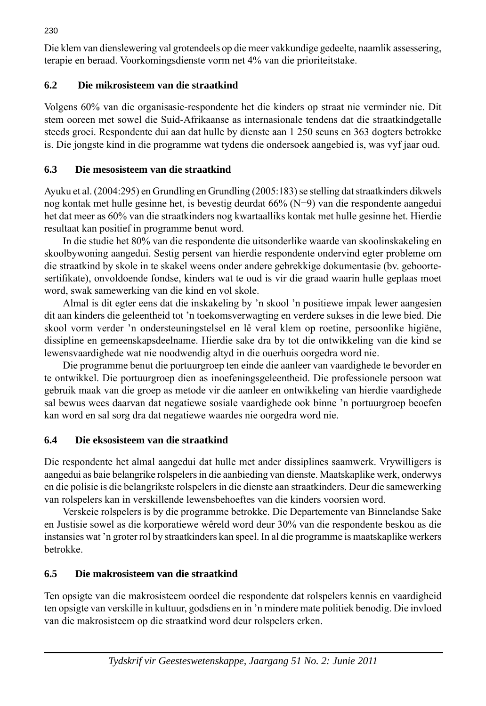Die klem van dienslewering val grotendeels op die meer vakkundige gedeelte, naamlik assessering, terapie en beraad. Voorkomingsdienste vorm net 4% van die prioriteitstake.

# **6.2 Die mikrosisteem van die straatkind**

Volgens 60% van die organisasie-respondente het die kinders op straat nie verminder nie. Dit stem ooreen met sowel die Suid-Afrikaanse as internasionale tendens dat die straatkindgetalle steeds groei. Respondente dui aan dat hulle by dienste aan 1 250 seuns en 363 dogters betrokke is. Die jongste kind in die programme wat tydens die onder soek aangebied is, was vyf jaar oud.

# **6.3 Die mesosisteem van die straatkind**

Ayuku et al. (2004:295) en Grundling en Grundling (2005:183) se stelling dat straatkinders dikwels nog kontak met hulle gesinne het, is bevestig deurdat  $66\%$  (N=9) van die respondente aangedui het dat meer as 60% van die straatkinders nog kwartaalliks kontak met hulle gesinne het. Hierdie resultaat kan positief in programme benut word.

 In die studie het 80% van die respondente die uitsonderlike waarde van skoolinskakeling en skool bywoning aangedui. Sestig persent van hierdie respondente ondervind egter probleme om die straatkind by skole in te skakel weens onder andere gebrekkige dokumentasie (bv. geboortesertifikate), onvoldoende fondse, kinders wat te oud is vir die graad waarin hulle geplaas moet word, swak samewerking van die kind en vol skole.

 Almal is dit egter eens dat die inskakeling by 'n skool 'n positiewe impak lewer aangesien dit aan kinders die geleentheid tot 'n toekomsverwagting en verdere sukses in die lewe bied. Die skool vorm verder 'n ondersteuningstelsel en lê veral klem op roetine, persoonlike higiëne, dissipline en gemeenskapsdeelname. Hierdie sake dra by tot die ontwikkeling van die kind se lewensvaardighede wat nie noodwendig altyd in die ouerhuis oorgedra word nie.

 Die programme benut die portuurgroep ten einde die aanleer van vaardighede te bevorder en te ontwikkel. Die portuurgroep dien as inoefeningsgeleentheid. Die professionele persoon wat gebruik maak van die groep as metode vir die aanleer en ontwikkeling van hierdie vaardighede sal bewus wees daarvan dat negatiewe sosiale vaardighede ook binne 'n portuurgroep beoefen kan word en sal sorg dra dat negatiewe waardes nie oorgedra word nie.

# **6.4 Die eksosisteem van die straatkind**

Die respondente het almal aangedui dat hulle met ander dissiplines saam werk. Vrywilligers is aangedui as baie belangrike rolspelers in die aanbieding van dien ste. Maatskaplike werk, onderwys en die polisie is die belangrikste rolspelers in die dienste aan straatkinders. Deur die samewerking van rolspelers kan in verskillende lewensbehoeftes van die kinders voorsien word.

 Verskeie rolspelers is by die programme betrokke. Die Departemente van Binnelandse Sake en Justisie sowel as die korporatiewe wêreld word deur 30% van die respondente beskou as die instansies wat 'n groter rol by straatkinders kan speel. In al die programme is maatskaplike werkers betrokke.

# **6.5 Die makrosisteem van die straatkind**

Ten opsigte van die makrosisteem oordeel die respondente dat rolspelers kennis en vaardigheid ten opsigte van verskille in kultuur, godsdiens en in 'n mindere mate politiek benodig. Die invloed van die makrosisteem op die straatkind word deur rolspelers erken.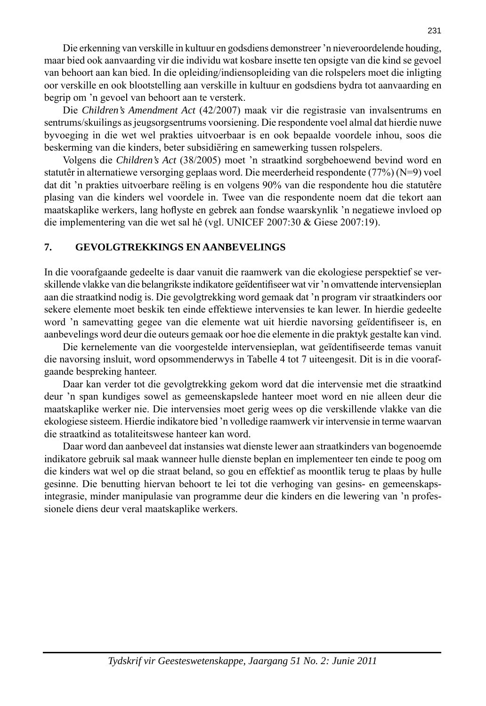Die erkenning van verskille in kultuur en godsdiens demonstreer 'n nieveroordelende houding, maar bied ook aanvaarding vir die individu wat kosbare insette ten opsigte van die kind se gevoel van behoort aan kan bied. In die opleiding/indiensopleiding van die rolspelers moet die inligting oor verskille en ook blootstelling aan verskille in kultuur en gods diens bydra tot aanvaarding en begrip om 'n gevoel van behoort aan te versterk.

Die *Children's Amendment Act* (42/2007) maak vir die registrasie van inval sentrums en sentrums/skuilings as jeugsorgsentrums voorsiening. Die respondente voel almal dat hierdie nuwe byvoeging in die wet wel prakties uitvoerbaar is en ook bepaalde voordele inhou, soos die beskerming van die kinders, beter subsidiëring en same werking tussen rolspelers.

 Volgens die *Children's Act* (38/2005) moet 'n straatkind sorgbehoewend bevind word en statutêr in alternatiewe versorging geplaas word. Die meerderheid respondente (77%) (N=9) voel dat dit 'n prakties uitvoerbare reëling is en volgens 90% van die respondente hou die statutêre plasing van die kinders wel voordele in. Twee van die respondente noem dat die tekort aan maatskaplike werkers, lang hoflyste en gebrek aan fondse waarskynlik 'n negatiewe invloed op die implementering van die wet sal hê (vgl. UNICEF 2007:30 & Giese 2007:19).

#### **7. GEVOLGTREKKINGS EN AANBEVELINGS**

In die voorafgaande gedeelte is daar vanuit die raamwerk van die ekologiese perspektief se verskillende vlakke van die belangrikste indikatore geïdentifiseer wat vir 'n omvattende intervensieplan aan die straatkind nodig is. Die gevolgtrekking word gemaak dat 'n program vir straatkinders oor sekere elemente moet beskik ten einde effektiewe intervensies te kan lewer. In hierdie gedeelte word 'n samevatting gegee van die elemente wat uit hierdie navorsing geïdentifiseer is, en aanbevelings word deur die outeurs gemaak oor hoe die elemente in die praktyk gestalte kan vind.

Die kernelemente van die voorgestelde intervensieplan, wat geïdentifiseerde temas vanuit die navorsing insluit, word opsommenderwys in Tabelle 4 tot 7 uiteengesit. Dit is in die voorafgaande bespreking hanteer.

 Daar kan verder tot die gevolgtrekking gekom word dat die intervensie met die straatkind deur 'n span kundiges sowel as gemeenskapslede hanteer moet word en nie alleen deur die maatskaplike werker nie. Die intervensies moet gerig wees op die verskillende vlakke van die ekologiese sisteem. Hierdie indikatore bied 'n volledige raamwerk vir intervensie in terme waarvan die straatkind as totaliteitswese hanteer kan word.

 Daar word dan aanbeveel dat instansies wat dienste lewer aan straatkinders van bogenoemde indikatore gebruik sal maak wanneer hulle dienste beplan en implementeer ten einde te poog om die kinders wat wel op die straat beland, so gou en effektief as moontlik terug te plaas by hulle gesinne. Die benutting hiervan behoort te lei tot die verhoging van gesins- en gemeenskapsintegrasie, minder manipulasie van programme deur die kinders en die lewering van 'n professionele diens deur veral maatskaplike werkers.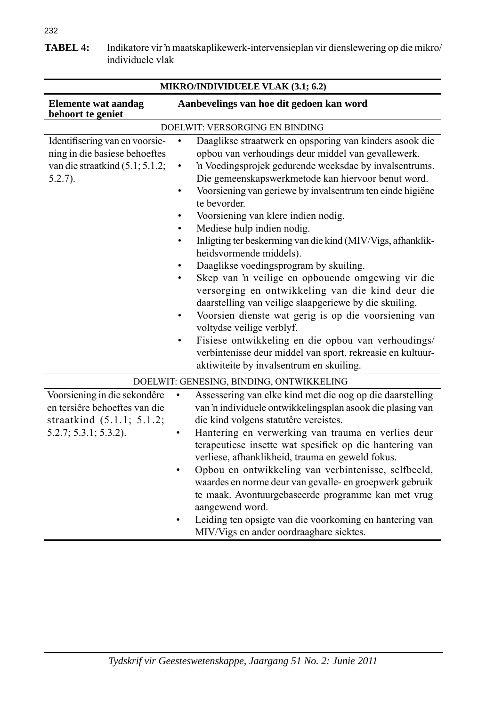232

| <u> ІЛІККО/ПАЛТУНО СЕДЕР У ДАТК (9.1, 9.2)</u>                                                                         |                                                                                                                                                                                                                                                                                                                                                                                                                                                                                                                                                                                                                                                                                                                                                                                                                                                                                                                                                                                                                                                                       |  |
|------------------------------------------------------------------------------------------------------------------------|-----------------------------------------------------------------------------------------------------------------------------------------------------------------------------------------------------------------------------------------------------------------------------------------------------------------------------------------------------------------------------------------------------------------------------------------------------------------------------------------------------------------------------------------------------------------------------------------------------------------------------------------------------------------------------------------------------------------------------------------------------------------------------------------------------------------------------------------------------------------------------------------------------------------------------------------------------------------------------------------------------------------------------------------------------------------------|--|
| <b>Elemente wat aandag</b><br>behoort te geniet                                                                        | Aanbevelings van hoe dit gedoen kan word                                                                                                                                                                                                                                                                                                                                                                                                                                                                                                                                                                                                                                                                                                                                                                                                                                                                                                                                                                                                                              |  |
|                                                                                                                        | DOELWIT: VERSORGING EN BINDING                                                                                                                                                                                                                                                                                                                                                                                                                                                                                                                                                                                                                                                                                                                                                                                                                                                                                                                                                                                                                                        |  |
| Identifisering van en voorsie-<br>ning in die basiese behoeftes<br>van die straatkind $(5.1; 5.1.2;$<br>$5.2.7$ ).     | Daaglikse straatwerk en opsporing van kinders asook die<br>$\bullet$<br>opbou van verhoudings deur middel van gevallewerk.<br>'n Voedingsprojek gedurende weeksdae by invalsentrums.<br>$\bullet$<br>Die gemeenskapswerkmetode kan hiervoor benut word.<br>Voorsiening van geriewe by invalsentrum ten einde higiëne<br>٠<br>te bevorder.<br>Voorsiening van klere indien nodig.<br>$\bullet$<br>Mediese hulp indien nodig.<br>$\bullet$<br>Inligting ter beskerming van die kind (MIV/Vigs, afhanklik-<br>$\bullet$<br>heidsvormende middels).<br>Daaglikse voedingsprogram by skuiling.<br>$\bullet$<br>Skep van 'n veilige en opbouende omgewing vir die<br>$\bullet$<br>versorging en ontwikkeling van die kind deur die<br>daarstelling van veilige slaapgeriewe by die skuiling.<br>Voorsien dienste wat gerig is op die voorsiening van<br>$\bullet$<br>voltydse veilige verblyf.<br>Fisiese ontwikkeling en die opbou van verhoudings/<br>$\bullet$<br>verbintenisse deur middel van sport, rekreasie en kultuur-<br>aktiwiteite by invalsentrum en skuiling. |  |
|                                                                                                                        | DOELWIT: GENESING, BINDING, ONTWIKKELING                                                                                                                                                                                                                                                                                                                                                                                                                                                                                                                                                                                                                                                                                                                                                                                                                                                                                                                                                                                                                              |  |
| Voorsiening in die sekondêre<br>en tersiêre behoeftes van die<br>straatkind (5.1.1; 5.1.2;<br>$5.2.7; 5.3.1; 5.3.2$ ). | Assessering van elke kind met die oog op die daarstelling<br>van 'n individuele ontwikkelingsplan asook die plasing van<br>die kind volgens statutêre vereistes.<br>Hantering en verwerking van trauma en verlies deur<br>٠<br>terapeutiese insette wat spesifiek op die hantering van<br>verliese, afhanklikheid, trauma en geweld fokus.<br>Opbou en ontwikkeling van verbintenisse, selfbeeld,<br>٠<br>waardes en norme deur van gevalle- en groepwerk gebruik<br>te maak. Avontuurgebaseerde programme kan met vrug<br>aangewend word.<br>Leiding ten opsigte van die voorkoming en hantering van<br>MIV/Vigs en ander oordraagbare siektes.                                                                                                                                                                                                                                                                                                                                                                                                                      |  |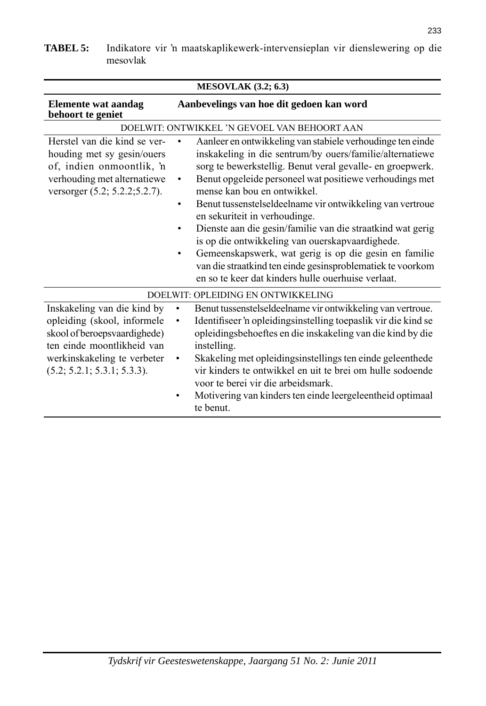| <b>MESOVLAK</b> (3.2; 6.3)                                                                                                                                                             |                                                                                                                                                                                                                                                                                                                                                                                                                                                                                                                                                                                                                                                                                                                               |  |
|----------------------------------------------------------------------------------------------------------------------------------------------------------------------------------------|-------------------------------------------------------------------------------------------------------------------------------------------------------------------------------------------------------------------------------------------------------------------------------------------------------------------------------------------------------------------------------------------------------------------------------------------------------------------------------------------------------------------------------------------------------------------------------------------------------------------------------------------------------------------------------------------------------------------------------|--|
| <b>Elemente wat aandag</b><br>behoort te geniet                                                                                                                                        | Aanbevelings van hoe dit gedoen kan word                                                                                                                                                                                                                                                                                                                                                                                                                                                                                                                                                                                                                                                                                      |  |
|                                                                                                                                                                                        | DOELWIT: ONTWIKKEL 'N GEVOEL VAN BEHOORT AAN                                                                                                                                                                                                                                                                                                                                                                                                                                                                                                                                                                                                                                                                                  |  |
| Herstel van die kind se ver-<br>houding met sy gesin/ouers<br>of, indien onmoontlik, 'n<br>verhouding met alternatiewe<br>versorger (5.2; 5.2.2; 5.2.7).                               | Aanleer en ontwikkeling van stabiele verhoudinge ten einde<br>inskakeling in die sentrum/by ouers/familie/alternatiewe<br>sorg te bewerkstellig. Benut veral gevalle- en groepwerk.<br>Benut opgeleide personeel wat positiewe verhoudings met<br>$\bullet$<br>mense kan bou en ontwikkel.<br>Benut tussenstelseldeelname vir ontwikkeling van vertroue<br>$\bullet$<br>en sekuriteit in verhoudinge.<br>Dienste aan die gesin/familie van die straatkind wat gerig<br>$\bullet$<br>is op die ontwikkeling van ouerskapvaardighede.<br>Gemeenskapswerk, wat gerig is op die gesin en familie<br>$\bullet$<br>van die straatkind ten einde gesinsproblematiek te voorkom<br>en so te keer dat kinders hulle ouerhuise verlaat. |  |
|                                                                                                                                                                                        | DOELWIT: OPLEIDING EN ONTWIKKELING                                                                                                                                                                                                                                                                                                                                                                                                                                                                                                                                                                                                                                                                                            |  |
| Inskakeling van die kind by<br>opleiding (skool, informele<br>skool of beroepsvaardighede)<br>ten einde moontlikheid van<br>werkinskakeling te verbeter<br>(5.2; 5.2.1; 5.3.1; 5.3.3). | Benut tussenstelseldeelname vir ontwikkeling van vertroue.<br>٠<br>Identifiseer 'n opleidingsinstelling toepaslik vir die kind se<br>٠<br>opleidingsbehoeftes en die inskakeling van die kind by die<br>instelling.<br>Skakeling met opleidingsinstellings ten einde geleenthede<br>vir kinders te ontwikkel en uit te brei om hulle sodoende<br>voor te berei vir die arbeidsmark.<br>Motivering van kinders ten einde leergeleentheid optimaal<br>te benut.                                                                                                                                                                                                                                                                 |  |

## **TABEL 5:** Indikatore vir 'n maatskaplikewerk-intervensieplan vir dienslewering op die mesovlak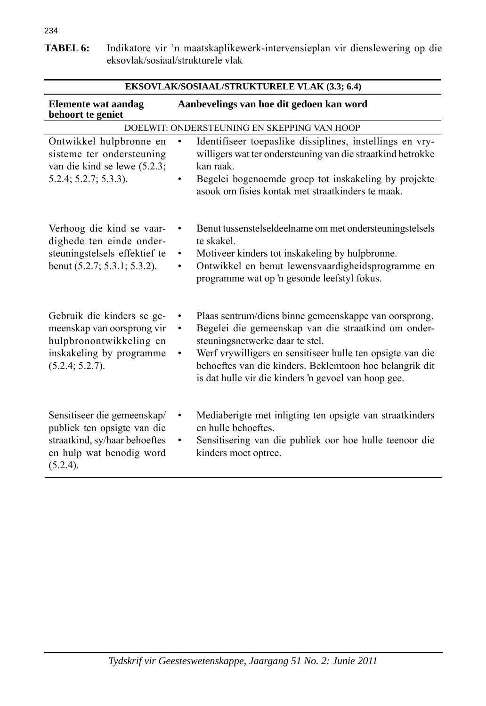**TABEL 6:** Indikatore vir 'n maatskaplikewerk-intervensieplan vir dienslewering op die eksovlak/sosiaal/strukturele vlak

| <b>EKSOVLAK/SOSIAAL/STRUKTURELE VLAK (3.3; 6.4)</b>                                                                                 |                                                                                                                                                                                                                                                                                                                                                            |  |
|-------------------------------------------------------------------------------------------------------------------------------------|------------------------------------------------------------------------------------------------------------------------------------------------------------------------------------------------------------------------------------------------------------------------------------------------------------------------------------------------------------|--|
| <b>Elemente wat aandag</b><br>behoort te geniet                                                                                     | Aanbevelings van hoe dit gedoen kan word                                                                                                                                                                                                                                                                                                                   |  |
|                                                                                                                                     | DOELWIT: ONDERSTEUNING EN SKEPPING VAN HOOP                                                                                                                                                                                                                                                                                                                |  |
| Ontwikkel hulpbronne en<br>sisteme ter ondersteuning<br>van die kind se lewe (5.2.3;<br>$5.2.4; 5.2.7; 5.3.3$ ).                    | Identifiseer toepaslike dissiplines, instellings en vry-<br>$\bullet$<br>willigers wat ter ondersteuning van die straatkind betrokke<br>kan raak.<br>Begelei bogenoemde groep tot inskakeling by projekte<br>٠<br>asook om fisies kontak met straatkinders te maak.                                                                                        |  |
| Verhoog die kind se vaar-<br>dighede ten einde onder-<br>steuningstelsels effektief te<br>benut (5.2.7; 5.3.1; 5.3.2).              | Benut tussenstelseldeelname om met ondersteuningstelsels<br>te skakel.<br>Motiveer kinders tot inskakeling by hulpbronne.<br>$\bullet$<br>Ontwikkel en benut lewensvaardigheidsprogramme en<br>٠<br>programme wat op 'n gesonde leefstyl fokus.                                                                                                            |  |
| Gebruik die kinders se ge-<br>meenskap van oorsprong vir<br>hulpbronontwikkeling en<br>inskakeling by programme<br>(5.2.4; 5.2.7).  | Plaas sentrum/diens binne gemeenskappe van oorsprong.<br>$\bullet$<br>Begelei die gemeenskap van die straatkind om onder-<br>$\bullet$<br>steuningsnetwerke daar te stel.<br>Werf vrywilligers en sensitiseer hulle ten opsigte van die<br>behoeftes van die kinders. Beklemtoon hoe belangrik dit<br>is dat hulle vir die kinders 'n gevoel van hoop gee. |  |
| Sensitiseer die gemeenskap/<br>publiek ten opsigte van die<br>straatkind, sy/haar behoeftes<br>en hulp wat benodig word<br>(5.2.4). | Mediaberigte met inligting ten opsigte van straatkinders<br>$\bullet$<br>en hulle behoeftes.<br>Sensitisering van die publiek oor hoe hulle teenoor die<br>$\bullet$<br>kinders moet optree.                                                                                                                                                               |  |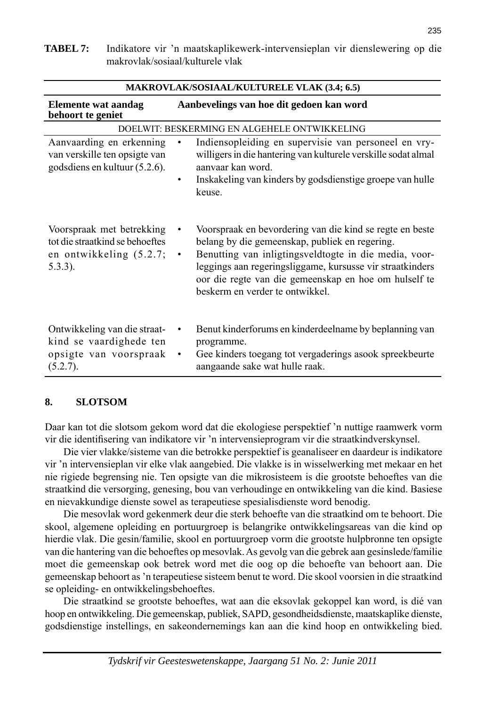| елението wai аапчад<br>behoort te geniet                                                              | Adhoc venngs van hoe uit gedoen kan word                                                                                                                                                                                                                                                                                                       |  |
|-------------------------------------------------------------------------------------------------------|------------------------------------------------------------------------------------------------------------------------------------------------------------------------------------------------------------------------------------------------------------------------------------------------------------------------------------------------|--|
| DOELWIT: BESKERMING EN ALGEHELE ONTWIKKELING                                                          |                                                                                                                                                                                                                                                                                                                                                |  |
| Aanvaarding en erkenning<br>van verskille ten opsigte van<br>godsdiens en kultuur (5.2.6).            | Indiensopleiding en supervisie van personeel en vry-<br>٠<br>willigers in die hantering van kulturele verskille sodat almal<br>aanvaar kan word.<br>Inskakeling van kinders by godsdienstige groepe van hulle<br>٠<br>keuse.                                                                                                                   |  |
| Voorspraak met betrekking<br>tot die straatkind se behoeftes<br>en ontwikkeling (5.2.7;<br>$5.3.3$ ). | Voorspraak en bevordering van die kind se regte en beste<br>٠<br>belang by die gemeenskap, publiek en regering.<br>Benutting van inligtingsveldtogte in die media, voor-<br>$\bullet$<br>leggings aan regeringsliggame, kursusse vir straatkinders<br>oor die regte van die gemeenskap en hoe om hulself te<br>beskerm en verder te ontwikkel. |  |
| Ontwikkeling van die straat-<br>kind se vaardighede ten<br>opsigte van voorspraak<br>(5.2.7).         | Benut kinderforums en kinderdeelname by beplanning van<br>٠<br>programme.<br>Gee kinders toegang tot vergaderings asook spreekbeurte<br>٠<br>aangaande sake wat hulle raak.                                                                                                                                                                    |  |

## **8. SLOTSOM**

Daar kan tot die slotsom gekom word dat die ekologiese perspektief 'n nuttige raamwerk vorm vir die identifisering van indikatore vir 'n intervensieprogram vir die straatkindverskynsel.

 Die vier vlakke/sisteme van die betrokke perspektief is geanaliseer en daardeur is indikatore vir 'n inter ven sie plan vir elke vlak aangebied. Die vlakke is in wisselwerking met mekaar en het nie rigiede begrensing nie. Ten opsigte van die mikrosisteem is die grootste behoeftes van die straat kind die versorging, genesing, bou van verhoudinge en ont wikkeling van die kind. Basiese en nievakkundige dienste sowel as terapeutiese spesialisdienste word benodig.

 Die mesovlak word gekenmerk deur die sterk behoefte van die straatkind om te behoort. Die skool, algemene opleiding en portuurgroep is belangrike ontwikkelingsareas van die kind op hier die vlak. Die gesin/familie, skool en portuurgroep vorm die grootste hulpbronne ten opsigte van die hantering van die behoeftes op mesovlak. As gevolg van die gebrek aan gesinslede/familie moet die gemeenskap ook betrek word met die oog op die behoefte van behoort aan. Die gemeenskap behoort as 'n terapeutiese sisteem benut te word. Die skool voorsien in die straatkind se opleiding- en ontwikkelingsbehoeftes.

 Die straatkind se grootste behoeftes, wat aan die eksovlak gekoppel kan word, is dié van hoop en ontwikkeling. Die gemeenskap, publiek, SAPD, gesondheidsdienste, maat skap like dienste, godsdienstige instellings, en sakeondernemings kan aan die kind hoop en ontwikkeling bied.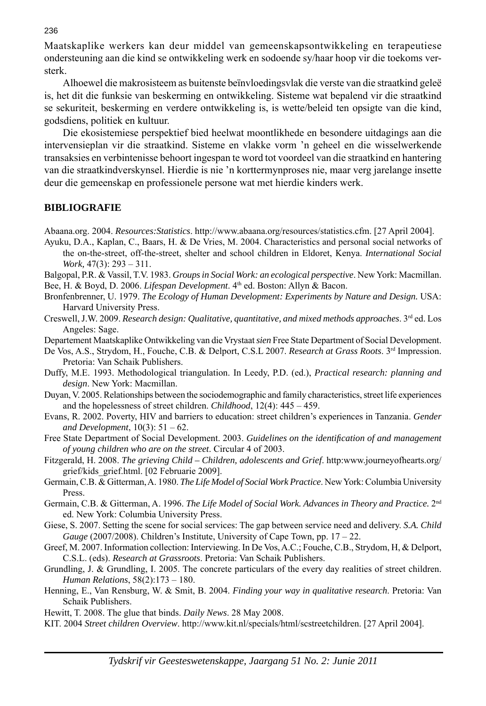Maatskaplike werkers kan deur middel van gemeenskapsontwikkeling en terapeutiese ondersteuning aan die kind se ontwikkeling werk en sodoende sy/haar hoop vir die toekoms versterk.

 Alhoewel die makrosisteem as buitenste beïnvloedingsvlak die verste van die straatkind geleë is, het dit die funksie van beskerming en ontwikkeling. Sisteme wat bepalend vir die straatkind se sekuriteit, beskerming en verdere ontwikkeling is, is wette/beleid ten opsigte van die kind, godsdiens, politiek en kultuur.

 Die ekosistemiese perspektief bied heelwat moontlikhede en besondere uitdagings aan die intervensieplan vir die straatkind. Sisteme en vlakke vorm 'n geheel en die wisselwerkende transaksies en verbintenisse behoort ingespan te word tot voordeel van die straatkind en hantering van die straatkindverskynsel. Hierdie is nie 'n korttermynproses nie, maar verg jarelange insette deur die gemeenskap en professionele persone wat met hierdie kinders werk.

#### **BIBLIOGRAFIE**

Abaana.org. 2004. *Resources:Statistics*. http://www.abaana.org/resources/statistics.cfm. [27 April 2004].

- Ayuku, D.A., Kaplan, C., Baars, H. & De Vries, M. 2004. Characteristics and personal social networks of the on-the-street, off-the-street, shelter and school children in Eldoret, Kenya. *International Social Work,* 47(3): 293 – 311.
- Balgopal, P.R. & Vassil, T.V. 1983. *Groups in Social Work: an ecological perspective*. New York: Macmillan. Bee, H. & Boyd, D. 2006. *Lifespan Development*. 4th ed. Boston: Allyn & Bacon.
- Bronfenbrenner, U. 1979. *The Ecology of Human Development: Experiments by Nature and Design.* USA: Harvard University Press.
- Creswell, J.W. 2009. *Research design: Qualitative, quantitative, and mixed methods approaches*. 3rd ed. Los Angeles: Sage.

Departement Maatskaplike Ontwikkeling van die Vrystaat *sien* Free State Department of Social Development.

- De Vos, A.S., Strydom, H., Fouche, C.B. & Delport, C.S.L 2007. *Research at Grass Roots*. 3<sup>rd</sup> Impression. Pretoria: Van Schaik Publishers.
- Duffy, M.E. 1993. Methodological triangulation. In Leedy, P.D. (ed.), *Practical research: planning and design*. New York: Macmillan.
- Duyan, V. 2005. Relationships between the sociodemographic and family characteristics, street life experiences and the hopelessness of street children. *Childhood*, 12(4): 445 – 459.
- Evans, R. 2002. Poverty, HIV and barriers to education: street children's experiences in Tanzania. *Gender and Development*, 10(3): 51 – 62.
- Free State Department of Social Development. 2003. *Guidelines on the identifi cation of and management of young children who are on the street*. Circular 4 of 2003.
- Fitzgerald, H. 2008. *The grieving Child Children, adolescents and Grief*. http:www.journeyofhearts.org/ grief/kids\_grief.html. [02 Februarie 2009].
- Germain, C.B. & Gitterman, A. 1980. *The Life Model of Social Work Practice*. New York: Columbia University Press.
- Germain, C.B. & Gitterman, A. 1996. *The Life Model of Social Work. Advances in Theory and Practice.* 2nd ed. New York: Columbia University Press.
- Giese, S. 2007. Setting the scene for social services: The gap between service need and delivery. *S.A. Child Gauge* (2007/2008). Children's Institute, University of Cape Town, pp. 17 – 22.
- Greef, M. 2007. Information collection: Interviewing. In De Vos, A.C.; Fouche, C.B., Strydom, H, & Delport, C.S.L. (eds). *Re search at Grassroots*. Pretoria: Van Schaik Publishers.
- Grundling, J. & Grundling, I. 2005. The concrete particulars of the every day realities of street children. *Human Relations*, 58(2):173 – 180.
- Henning, E., Van Rensburg, W. & Smit, B. 2004. *Finding your way in qualitative research*. Pretoria: Van Schaik Publishers.
- Hewitt, T. 2008. The glue that binds. *Daily News*. 28 May 2008.
- KIT. 2004 *Street children Overview*. http://www.kit.nl/specials/html/scstreetchildren. [27 April 2004].